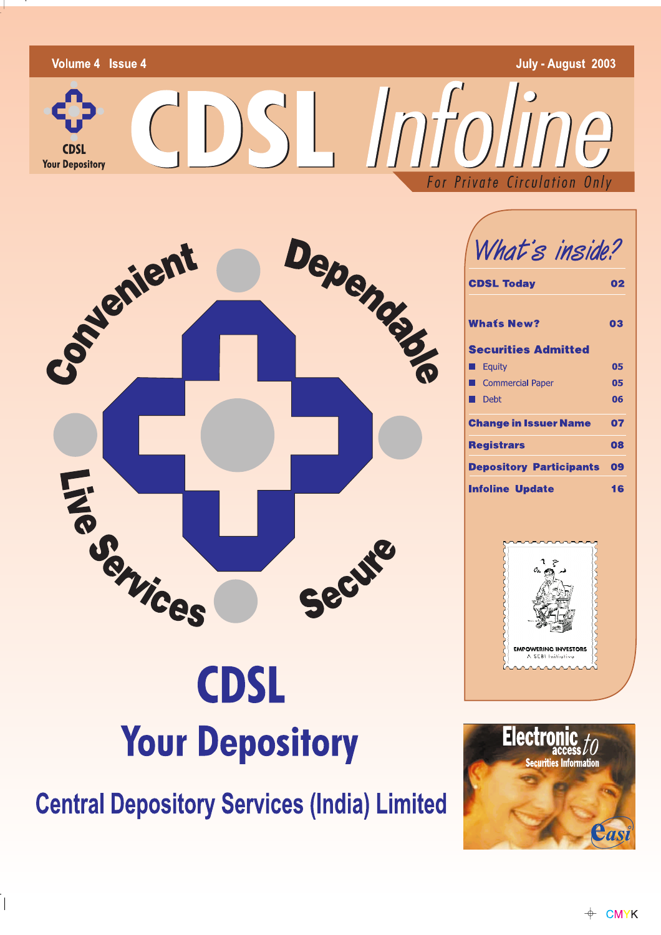



 $\overline{\phantom{a}}$ 

 $\overline{\phantom{a}}$ 

What's inside?

| <b>CDSL Today</b>                               | 02 |  |  |
|-------------------------------------------------|----|--|--|
| <b>Whats New?</b><br><b>Securities Admitted</b> | 03 |  |  |
| Equity                                          | 05 |  |  |
| <b>Commercial Paper</b>                         | 05 |  |  |
| Debt                                            | 06 |  |  |
| <b>Change in Issuer Name</b>                    |    |  |  |
| <b>Registrars</b>                               | 08 |  |  |
| <b>Depository Participants</b>                  | 09 |  |  |
| Infoline Update                                 |    |  |  |



# **CDSL Your Depository**

**Central Depository Services (India) Limited** 

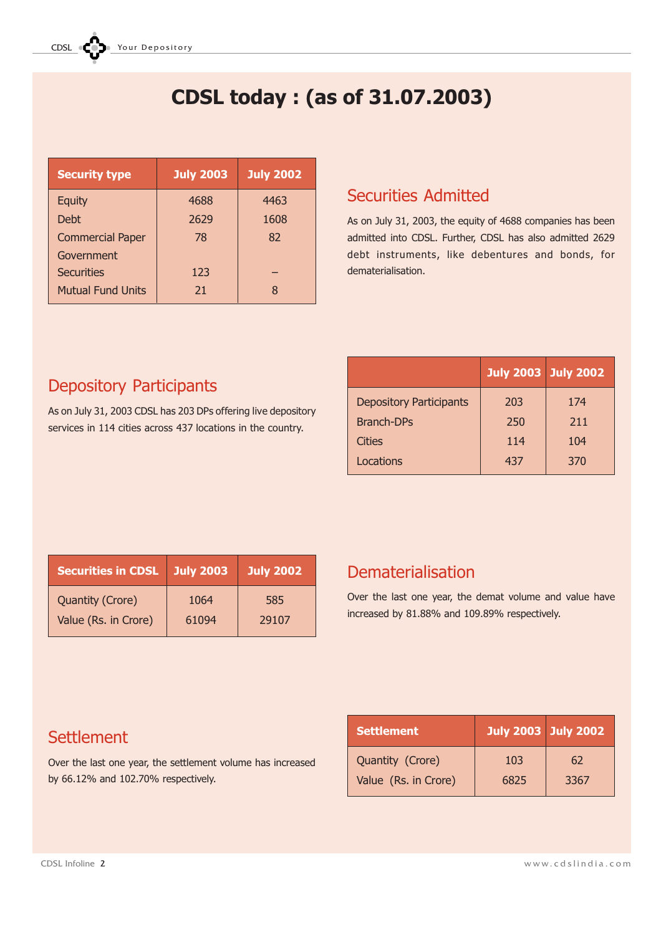# CDSL today : (as of 31.07.2003)

| <b>July 2003</b> | <b>July 2002</b> |
|------------------|------------------|
| 4688             | 4463             |
| 2629             | 1608             |
| 78               | 82               |
|                  |                  |
| 123              |                  |
| 21               | 8                |
|                  |                  |

### Securities Admitted

As on July 31, 2003, the equity of 4688 companies has been admitted into CDSL. Further, CDSL has also admitted 2629 debt instruments, like debentures and bonds, for dematerialisation.

# Depository Participants

As on July 31, 2003 CDSL has 203 DPs offering live depository services in 114 cities across 437 locations in the country.

|                                | <b>July 2003 July 2002</b> |     |
|--------------------------------|----------------------------|-----|
| <b>Depository Participants</b> | 203                        | 174 |
| <b>Branch-DPs</b>              | 250                        | 211 |
| <b>Cities</b>                  | 114                        | 104 |
| Locations                      | 437                        | 370 |

| <b>Securities in CDSL</b> | <b>July 2003</b> | <b>July 2002</b> |
|---------------------------|------------------|------------------|
| <b>Quantity (Crore)</b>   | 1064             | 585              |
| Value (Rs. in Crore)      | 61094            | 29107            |

### Dematerialisation

Over the last one year, the demat volume and value have increased by 81.88% and 109.89% respectively.

| <b>Settlement</b>    | <b>July 2003 July 2002</b> |      |
|----------------------|----------------------------|------|
| Quantity (Crore)     | 103                        | 62   |
| Value (Rs. in Crore) | 6825                       | 3367 |

# **Settlement**

Over the last one year, the settlement volume has increased by 66.12% and 102.70% respectively.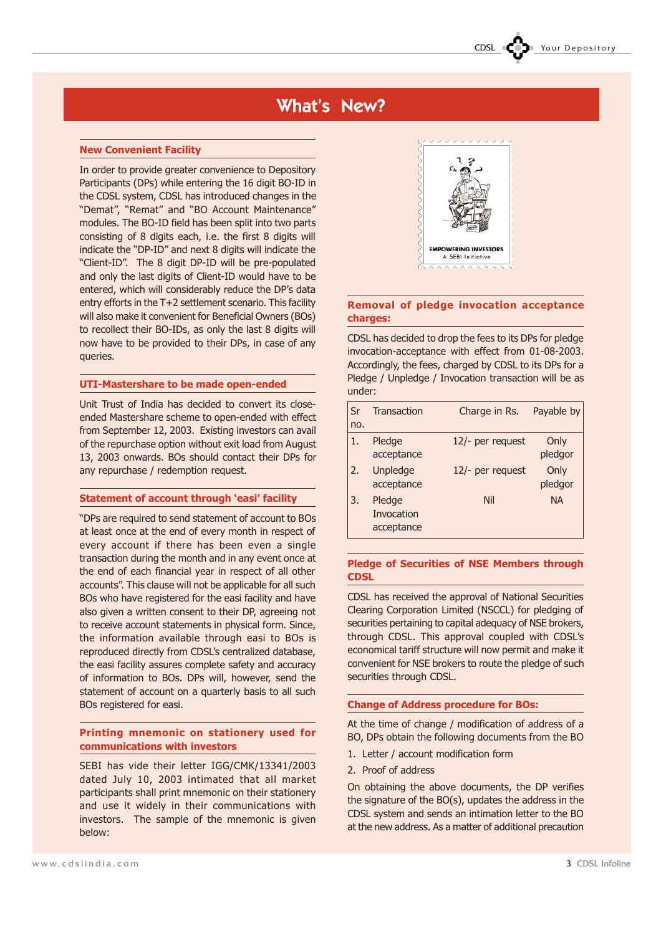## What's New?

### New Convenient Facility

In order to provide greater convenience to Depository Participants (DPs) while entering the 16 digit BO-ID in the CDSL system, CDSL has introduced changes in the "Demat", "Remat" and "BO Account Maintenance" modules. The BO-ID field has been split into two parts consisting of 8 digits each, i.e. the first 8 digits will indicate the "DP-ID" and next 8 digits will indicate the "Client-ID". The 8 digit DP-ID will be pre-populated and only the last digits of Client-ID would have to be entered, which will considerably reduce the DP's data entry efforts in the T+2 settlement scenario. This facility will also make it convenient for Beneficial Owners (BOs) to recollect their BO-IDs, as only the last 8 digits will now have to be provided to their DPs, in case of any queries.

### UTI-Mastershare to be made open-ended

Unit Trust of India has decided to convert its closeended Mastershare scheme to open-ended with effect from September 12, 2003. Existing investors can avail of the repurchase option without exit load from August 13, 2003 onwards. BOs should contact their DPs for any repurchase / redemption request.

### Statement of account through 'easi' facility

DPs are required to send statement of account to BOs at least once at the end of every month in respect of every account if there has been even a single transaction during the month and in any event once at the end of each financial year in respect of all other accounts". This clause will not be applicable for all such BOs who have registered for the easi facility and have also given a written consent to their DP, agreeing not to receive account statements in physical form. Since, the information available through easi to BOs is reproduced directly from CDSL's centralized database. the easi facility assures complete safety and accuracy of information to BOs. DPs will, however, send the statement of account on a quarterly basis to all such BOs registered for easi.

### Printing mnemonic on stationery used for communications with investors

SEBI has vide their letter IGG/CMK/13341/2003 dated July 10, 2003 intimated that all market participants shall print mnemonic on their stationery and use it widely in their communications with investors. The sample of the mnemonic is given below:



### Removal of pledge invocation acceptance charges:

CDSL has decided to drop the fees to its DPs for pledge invocation-acceptance with effect from 01-08-2003. Accordingly, the fees, charged by CDSL to its DPs for a Pledge / Unpledge / Invocation transaction will be as under:

| Sr<br>no. | Transaction                        | Charge in Rs.    | Payable by      |
|-----------|------------------------------------|------------------|-----------------|
| 1.        | Pledge<br>acceptance               | 12/- per request | Only<br>pledgor |
| 2.        | Unpledge<br>acceptance             | 12/- per request | Only<br>pledgor |
| 3.        | Pledge<br>Invocation<br>acceptance | Nil              | <b>NA</b>       |

### Pledge of Securities of NSE Members through **CDSL**

CDSL has received the approval of National Securities Clearing Corporation Limited (NSCCL) for pledging of securities pertaining to capital adequacy of NSE brokers, through CDSL. This approval coupled with CDSL's economical tariff structure will now permit and make it convenient for NSE brokers to route the pledge of such securities through CDSL.

### Change of Address procedure for BOs:

At the time of change / modification of address of a BO, DPs obtain the following documents from the BO

- 1. Letter / account modification form
- 2. Proof of address

On obtaining the above documents, the DP verifies the signature of the BO(s), updates the address in the CDSL system and sends an intimation letter to the BO at the new address. As a matter of additional precaution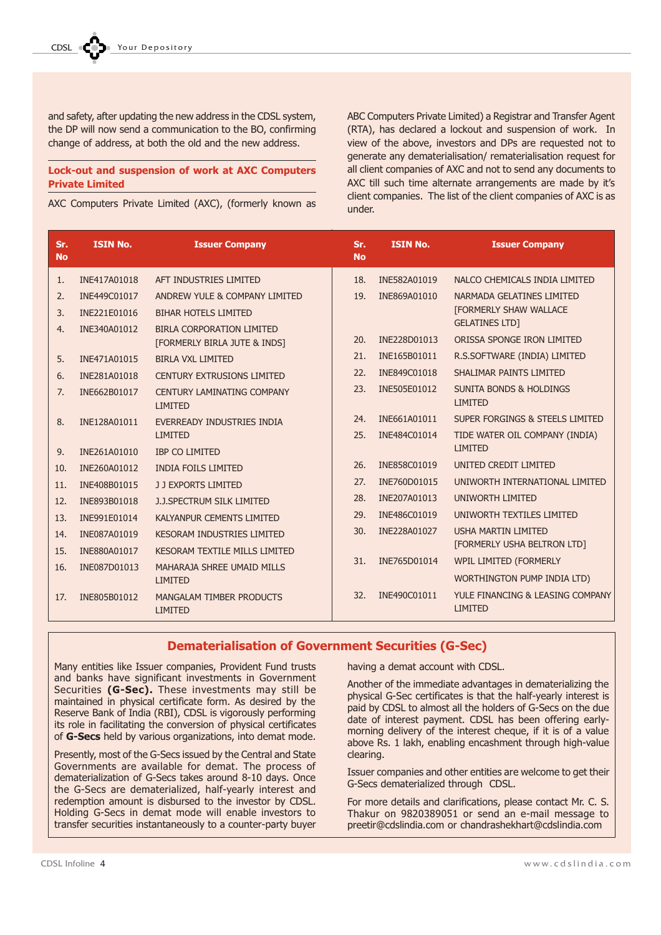and safety, after updating the new address in the CDSL system, the DP will now send a communication to the BO, confirming change of address, at both the old and the new address.

### Lock-out and suspension of work at AXC Computers Private Limited

AXC Computers Private Limited (AXC), (formerly known as

ABC Computers Private Limited) a Registrar and Transfer Agent (RTA), has declared a lockout and suspension of work. In view of the above, investors and DPs are requested not to generate any dematerialisation/ rematerialisation request for all client companies of AXC and not to send any documents to AXC till such time alternate arrangements are made by it's client companies. The list of the client companies of AXC is as under.

| Sr.<br><b>No</b> | <b>ISIN No.</b> | <b>Issuer Company</b>                               | Sr.<br><b>No</b> | <b>ISIN No.</b> | <b>Issuer Company</b>                                |
|------------------|-----------------|-----------------------------------------------------|------------------|-----------------|------------------------------------------------------|
| 1.               | INE417A01018    | AFT INDUSTRIES LIMITED                              | 18.              | INE582A01019    | NALCO CHEMICALS INDIA LIMITED                        |
| 2.               | INE449C01017    | ANDREW YULE & COMPANY LIMITED                       | 19.              | INE869A01010    | NARMADA GELATINES LIMITED                            |
| 3.               | INE221E01016    | <b>BIHAR HOTELS LIMITED</b>                         |                  |                 | <b>[FORMERLY SHAW WALLACE</b>                        |
| 4.               | INE340A01012    | BIRLA CORPORATION LIMITED                           |                  |                 | <b>GELATINES LTD]</b>                                |
|                  |                 | [FORMERLY BIRLA JUTE & INDS]                        | 20.              | INE228D01013    | ORISSA SPONGE IRON LIMITED                           |
| 5.               | INE471A01015    | <b>BIRLA VXL LIMITED</b>                            | 21.              | INE165B01011    | R.S.SOFTWARE (INDIA) LIMITED                         |
| 6.               | INE281A01018    | <b>CENTURY EXTRUSIONS LIMITED</b>                   | 22.              | INE849C01018    | SHALIMAR PAINTS LIMITED                              |
| 7.               | INE662B01017    | <b>CENTURY LAMINATING COMPANY</b><br><b>LIMITED</b> | 23.              | INE505E01012    | <b>SUNITA BONDS &amp; HOLDINGS</b><br><b>LIMITED</b> |
| 8.               | INE128A01011    | EVERREADY INDUSTRIES INDIA                          | 24.              | INE661A01011    | <b>SUPER FORGINGS &amp; STEELS LIMITED</b>           |
|                  |                 | <b>LIMITED</b>                                      | 25.              | INE484C01014    | TIDE WATER OIL COMPANY (INDIA)                       |
| 9.               | INE261A01010    | <b>IBP CO LIMITED</b>                               |                  |                 | <b>LIMITED</b>                                       |
| 10.              | INE260A01012    | <b>INDIA FOILS LIMITED</b>                          | 26.              | INE858C01019    | UNITED CREDIT LIMITED                                |
| 11.              | INE408B01015    | J J EXPORTS LIMITED                                 | 27.              | INE760D01015    | UNIWORTH INTERNATIONAL LIMITED                       |
| 12.              | INE893B01018    | J.J.SPECTRUM SILK LIMITED                           | 28.              | INE207A01013    | <b>UNIWORTH LIMITED</b>                              |
| 13.              | INE991E01014    | <b>KALYANPUR CEMENTS LIMITED</b>                    | 29.              | INE486C01019    | UNIWORTH TEXTILES LIMITED                            |
| 14.              | INE087A01019    | <b>KESORAM INDUSTRIES LIMITED</b>                   | 30.              | INE228A01027    | <b>USHA MARTIN I IMITED</b>                          |
| 15.              | INE880A01017    | <b>KESORAM TEXTILE MILLS LIMITED</b>                |                  |                 | [FORMERLY USHA BELTRON LTD]                          |
| 16.              | INE087D01013    | MAHARAJA SHREE UMAID MILLS                          | 31.              | INE765D01014    | WPIL LIMITED (FORMERLY                               |
|                  |                 | <b>LIMITED</b>                                      |                  |                 | WORTHINGTON PUMP INDIA LTD)                          |
| 17.              | INE805B01012    | MANGALAM TIMBER PRODUCTS                            | 32.              | INE490C01011    | YULE FINANCING & LEASING COMPANY                     |
|                  |                 | <b>LIMITED</b>                                      |                  |                 | <b>LIMITED</b>                                       |

### Dematerialisation of Government Securities (G-Sec)

Many entities like Issuer companies, Provident Fund trusts and banks have significant investments in Government Securities (G-Sec). These investments may still be maintained in physical certificate form. As desired by the Reserve Bank of India (RBI), CDSL is vigorously performing its role in facilitating the conversion of physical certificates of G-Secs held by various organizations, into demat mode.

Presently, most of the G-Secs issued by the Central and State Governments are available for demat. The process of dematerialization of G-Secs takes around 8-10 days. Once the G-Secs are dematerialized, half-yearly interest and redemption amount is disbursed to the investor by CDSL. Holding G-Secs in demat mode will enable investors to transfer securities instantaneously to a counter-party buyer

having a demat account with CDSL.

Another of the immediate advantages in dematerializing the physical G-Sec certificates is that the half-yearly interest is paid by CDSL to almost all the holders of G-Secs on the due date of interest payment. CDSL has been offering earlymorning delivery of the interest cheque, if it is of a value above Rs. 1 lakh, enabling encashment through high-value clearing.

Issuer companies and other entities are welcome to get their G-Secs dematerialized through CDSL.

For more details and clarifications, please contact Mr. C. S. Thakur on 9820389051 or send an e-mail message to preetir@cdslindia.com or chandrashekhart@cdslindia.com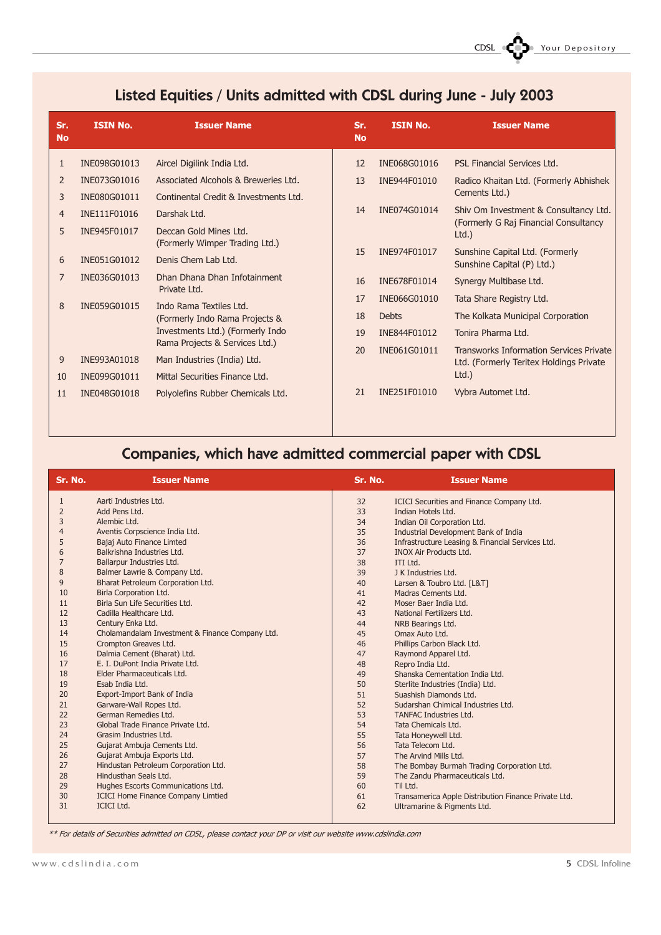# Listed Equities / Units admitted with CDSL during June - July 2003

| Sr.<br><b>No</b> | <b>ISIN No.</b> | <b>Issuer Name</b>                                       | Sr.<br><b>No</b> | <b>ISIN No.</b> | <b>Issuer Name</b>                                            |
|------------------|-----------------|----------------------------------------------------------|------------------|-----------------|---------------------------------------------------------------|
| 1                | INE098G01013    | Aircel Digilink India Ltd.                               | 12               | INE068G01016    | PSL Financial Services Ltd.                                   |
| 2                | INE073G01016    | Associated Alcohols & Breweries Ltd.                     | 13               | INE944F01010    | Radico Khaitan Ltd. (Formerly Abhishek                        |
| 3                | INE080G01011    | Continental Credit & Investments Ltd.                    |                  |                 | Cements Ltd.)                                                 |
| $\overline{4}$   | INE111F01016    | Darshak Ltd.                                             | 14               | INE074G01014    | Shiv Om Investment & Consultancy Ltd.                         |
| 5                | INE945F01017    | Deccan Gold Mines Ltd.<br>(Formerly Wimper Trading Ltd.) |                  |                 | (Formerly G Raj Financial Consultancy<br>$Ltd.$ )             |
| 6                | INE051G01012    | Denis Chem Lab Ltd.                                      | 15               | INE974F01017    | Sunshine Capital Ltd. (Formerly<br>Sunshine Capital (P) Ltd.) |
| 7                | INE036G01013    | Dhan Dhana Dhan Infotainment<br>Private Ltd.             | 16               | INE678F01014    | Synergy Multibase Ltd.                                        |
| 8                | INE059G01015    | Indo Rama Textiles Ltd.                                  | 17               | INE066G01010    | Tata Share Registry Ltd.                                      |
|                  |                 | (Formerly Indo Rama Projects &                           | 18               | <b>Debts</b>    | The Kolkata Municipal Corporation                             |
|                  |                 | Investments Ltd.) (Formerly Indo                         | 19               | INE844F01012    | Tonira Pharma Ltd.                                            |
|                  |                 | Rama Projects & Services Ltd.)                           | 20               | INE061G01011    | <b>Transworks Information Services Private</b>                |
| 9                | INE993A01018    | Man Industries (India) Ltd.                              |                  |                 | Ltd. (Formerly Teritex Holdings Private                       |
| 10               | INE099G01011    | Mittal Securities Finance Ltd.                           |                  |                 | Ltd.                                                          |
| 11               | INE048G01018    | Polyolefins Rubber Chemicals Ltd.                        | 21               | INE251F01010    | Vybra Automet Ltd.                                            |

### Companies, which have admitted commercial paper with CDSL

| Sr. No.        | <b>Issuer Name</b>                              | Sr. No. | <b>Issuer Name</b>                                   |
|----------------|-------------------------------------------------|---------|------------------------------------------------------|
| $\mathbf{1}$   | Aarti Industries Itd.                           | 32      | ICICI Securities and Finance Company Ltd.            |
| $\overline{2}$ | Add Pens Ltd.                                   | 33      | Indian Hotels Ltd.                                   |
| 3              | Alembic Ltd.                                    | 34      | Indian Oil Corporation Ltd.                          |
| $\overline{4}$ | Aventis Corpscience India Ltd.                  | 35      | Industrial Development Bank of India                 |
| 5              | Bajaj Auto Finance Limted                       | 36      | Infrastructure Leasing & Financial Services Ltd.     |
| 6              | Balkrishna Industries Ltd.                      | 37      | <b>INOX Air Products Ltd.</b>                        |
| $\overline{7}$ | Ballarpur Industries Ltd.                       | 38      | ITI Ltd.                                             |
| 8              | Balmer Lawrie & Company Ltd.                    | 39      | J K Industries Ltd.                                  |
| 9              | Bharat Petroleum Corporation Ltd.               | 40      | Larsen & Toubro Ltd. [L&T]                           |
| 10             | Birla Corporation Ltd.                          | 41      | Madras Cements Ltd.                                  |
| 11             | Birla Sun Life Securities Ltd.                  | 42      | Moser Baer India Ltd.                                |
| 12             | Cadilla Healthcare Ltd.                         | 43      | National Fertilizers Ltd.                            |
| 13             | Century Enka Ltd.                               | 44      | NRB Bearings Ltd.                                    |
| 14             | Cholamandalam Investment & Finance Company Ltd. | 45      | Omax Auto Ltd.                                       |
| 15             | Crompton Greaves Ltd.                           | 46      | Phillips Carbon Black Ltd.                           |
| 16             | Dalmia Cement (Bharat) Ltd.                     | 47      | Raymond Apparel Ltd.                                 |
| 17             | E. I. DuPont India Private Ltd.                 | 48      | Repro India Ltd.                                     |
| 18             | Elder Pharmaceuticals Ltd.                      | 49      | Shanska Cementation India Ltd.                       |
| 19             | Esab India Ltd.                                 | 50      | Sterlite Industries (India) Ltd.                     |
| 20             | Export-Import Bank of India                     | 51      | Suashish Diamonds Ltd.                               |
| 21             | Garware-Wall Ropes Ltd.                         | 52      | Sudarshan Chimical Industries Ltd.                   |
| 22             | German Remedies Ltd.                            | 53      | <b>TANFAC Industries Ltd.</b>                        |
| 23             | Global Trade Finance Private Ltd.               | 54      | Tata Chemicals Ltd.                                  |
| 24             | Grasim Industries Ltd.                          | 55      | Tata Honeywell Ltd.                                  |
| 25             | Gujarat Ambuja Cements Ltd.                     | 56      | Tata Telecom Ltd.                                    |
| 26             | Gujarat Ambuja Exports Ltd.                     | 57      | The Arvind Mills Ltd.                                |
| 27             | Hindustan Petroleum Corporation Ltd.            | 58      | The Bombay Burmah Trading Corporation Ltd.           |
| 28             | Hindusthan Seals Ltd.                           | 59      | The Zandu Pharmaceuticals Ltd.                       |
| 29             | Hughes Escorts Communications Ltd.              | 60      | Til Ltd.                                             |
| 30             | <b>ICICI Home Finance Company Limtied</b>       | 61      | Transamerica Apple Distribution Finance Private Ltd. |
| 31             | <b>ICICI Ltd.</b>                               | 62      | Ultramarine & Pigments Ltd.                          |
|                |                                                 |         |                                                      |

\*\* For details of Securities admitted on CDSL, please contact your DP or visit our website www.cdslindia.com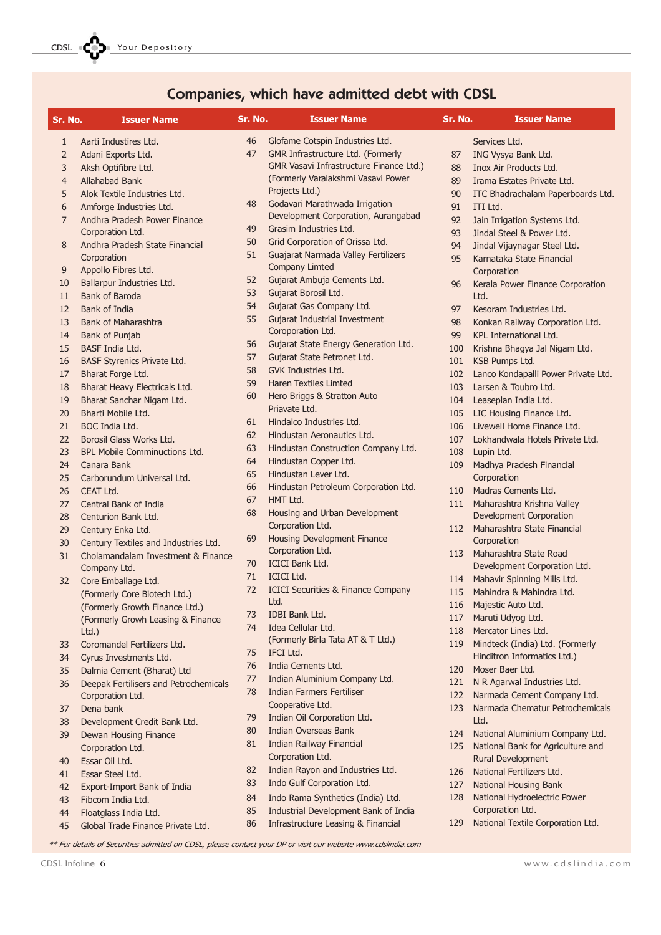CDSL **COD** Your Depository

# Companies, which have admitted debt with CDSL

| Sr. No.        | <b>Issuer Name</b>                                         | Sr. No.  | <b>Issuer Name</b>                                                         | Sr. No. | <b>Issuer Name</b>                               |
|----------------|------------------------------------------------------------|----------|----------------------------------------------------------------------------|---------|--------------------------------------------------|
| 1              | Aarti Industires Ltd.                                      | 46       | Glofame Cotspin Industries Ltd.                                            |         | Services Ltd.                                    |
| $\overline{2}$ | Adani Exports Ltd.                                         | 47       | GMR Infrastructure Ltd. (Formerly                                          | 87      | ING Vysya Bank Ltd.                              |
| 3              | Aksh Optifibre Ltd.                                        |          | <b>GMR Vasavi Infrastructure Finance Ltd.)</b>                             | 88      | Inox Air Products Ltd.                           |
| $\overline{4}$ | Allahabad Bank                                             |          | (Formerly Varalakshmi Vasavi Power                                         | 89      | Irama Estates Private Ltd.                       |
| 5              | Alok Textile Industries Ltd.                               |          | Projects Ltd.)                                                             | 90      | ITC Bhadrachalam Paperboards Ltd.                |
| 6              | Amforge Industries Ltd.                                    | 48       | Godavari Marathwada Irrigation                                             | 91      | ITI Ltd.                                         |
| $\overline{7}$ | Andhra Pradesh Power Finance                               |          | Development Corporation, Aurangabad                                        | 92      | Jain Irrigation Systems Ltd.                     |
|                | Corporation Ltd.                                           | 49       | Grasim Industries Ltd.                                                     | 93      | Jindal Steel & Power Ltd.                        |
| 8              | Andhra Pradesh State Financial                             | 50       | Grid Corporation of Orissa Ltd.                                            | 94      | Jindal Vijaynagar Steel Ltd.                     |
|                | Corporation                                                | 51       | Guajarat Narmada Valley Fertilizers                                        | 95      | Karnataka State Financial                        |
| 9              | Appollo Fibres Ltd.                                        |          | <b>Company Limted</b>                                                      |         | Corporation                                      |
| 10             | Ballarpur Industries Ltd.                                  | 52       | Gujarat Ambuja Cements Ltd.                                                | 96      | Kerala Power Finance Corporation                 |
| 11             | <b>Bank of Baroda</b>                                      | 53       | Gujarat Borosil Ltd.                                                       |         | Ltd.                                             |
| 12             | Bank of India                                              | 54       | Gujarat Gas Company Ltd.                                                   | 97      | Kesoram Industries Ltd.                          |
| 13             | Bank of Maharashtra                                        | 55       | Gujarat Industrial Investment                                              | 98      | Konkan Railway Corporation Ltd.                  |
| 14             | <b>Bank of Punjab</b>                                      |          | Coroporation Ltd.                                                          | 99      | KPL International Ltd.                           |
| 15             | <b>BASF India Ltd.</b>                                     | 56       | Gujarat State Energy Generation Ltd.                                       | 100     | Krishna Bhagya Jal Nigam Ltd.                    |
| 16             | <b>BASF Styrenics Private Ltd.</b>                         | 57<br>58 | Gujarat State Petronet Ltd.<br><b>GVK Industries Ltd.</b>                  | 101     | KSB Pumps Ltd.                                   |
| 17             | Bharat Forge Ltd.                                          |          |                                                                            | 102     | Lanco Kondapalli Power Private Ltd.              |
| 18             | Bharat Heavy Electricals Ltd.                              | 59<br>60 | <b>Haren Textiles Limted</b><br>Hero Briggs & Stratton Auto                | 103     | Larsen & Toubro Ltd.                             |
| 19             | Bharat Sanchar Nigam Ltd.                                  |          | Priavate Ltd.                                                              | 104     | Leaseplan India Ltd.                             |
| 20             | Bharti Mobile Ltd.                                         | 61       | Hindalco Industries Ltd.                                                   | 105     | LIC Housing Finance Ltd.                         |
| 21             | BOC India Ltd.                                             |          |                                                                            | 106     | Livewell Home Finance Ltd.                       |
| 22             | Borosil Glass Works Ltd.                                   | 62       | Hindustan Aeronautics Ltd.                                                 | 107     | Lokhandwala Hotels Private Ltd.                  |
| 23             | <b>BPL Mobile Comminuctions Ltd.</b>                       | 63       | Hindustan Construction Company Ltd.                                        | 108     | Lupin Ltd.                                       |
| 24             | Canara Bank                                                | 64       | Hindustan Copper Ltd.                                                      | 109     | Madhya Pradesh Financial                         |
| 25             | Carborundum Universal Ltd.                                 | 65       | Hindustan Lever Ltd.                                                       |         | Corporation                                      |
| 26             | CEAT Ltd.                                                  | 66       | Hindustan Petroleum Corporation Ltd.                                       | 110     | Madras Cements Ltd.                              |
| 27             | Central Bank of India                                      | 67       | HMT Ltd.                                                                   | 111     | Maharashtra Krishna Valley                       |
| 28             | Centurion Bank Ltd.                                        | 68       | Housing and Urban Development                                              |         | <b>Development Corporation</b>                   |
| 29             | Century Enka Ltd.                                          |          | Corporation Ltd.<br><b>Housing Development Finance</b>                     | 112     | Maharashtra State Financial                      |
| 30             | Century Textiles and Industries Ltd.                       | 69       | Corporation Ltd.                                                           |         | Corporation                                      |
| 31             | Cholamandalam Investment & Finance                         | 70       | <b>ICICI Bank Ltd.</b>                                                     | 113     | Maharashtra State Road                           |
|                | Company Ltd.                                               | 71       | <b>ICICI Ltd.</b>                                                          |         | Development Corporation Ltd.                     |
| 32             | Core Emballage Ltd.                                        | 72       | <b>ICICI Securities &amp; Finance Company</b>                              | 114     | Mahavir Spinning Mills Ltd.                      |
|                | (Formerly Core Biotech Ltd.)                               |          | Ltd.                                                                       | 115     | Mahindra & Mahindra Ltd.                         |
|                | (Formerly Growth Finance Ltd.)                             | 73       | IDBI Bank Ltd.                                                             | 116     | Majestic Auto Ltd.                               |
|                | (Formerly Growh Leasing & Finance                          | 74       | Idea Cellular Ltd.                                                         | 117     | Maruti Udyog Ltd.                                |
|                | Ltd.)                                                      |          | (Formerly Birla Tata AT & T Ltd.)                                          | 118     | Mercator Lines Ltd.                              |
| 33             | Coromandel Fertilizers Ltd.                                | 75       | IFCI Ltd.                                                                  | 119     | Mindteck (India) Ltd. (Formerly                  |
| 34             | Cyrus Investments Ltd.                                     | 76       | India Cements Ltd.                                                         |         | Hinditron Informatics Ltd.)<br>Moser Baer Ltd.   |
| 35             | Dalmia Cement (Bharat) Ltd                                 | 77       | Indian Aluminium Company Ltd.                                              | 120     |                                                  |
| 36             | Deepak Fertilisers and Petrochemicals                      | 78       | <b>Indian Farmers Fertiliser</b>                                           | 121     | N R Agarwal Industries Ltd.                      |
|                | Corporation Ltd.                                           |          | Cooperative Ltd.                                                           | 122     | Narmada Cement Company Ltd.                      |
| 37             | Dena bank                                                  | 79       | Indian Oil Corporation Ltd.                                                | 123     | Narmada Chematur Petrochemicals                  |
| 38             | Development Credit Bank Ltd.                               | 80       | <b>Indian Overseas Bank</b>                                                |         | Ltd.                                             |
| 39             | Dewan Housing Finance                                      | 81       | <b>Indian Railway Financial</b>                                            | 124     | National Aluminium Company Ltd.                  |
|                | Corporation Ltd.                                           |          | Corporation Ltd.                                                           | 125     | National Bank for Agriculture and                |
| 40             | Essar Oil Ltd.                                             | 82       | Indian Rayon and Industries Ltd.                                           |         | Rural Development<br>National Fertilizers Ltd.   |
| 41             | Essar Steel Ltd.                                           | 83       | Indo Gulf Corporation Ltd.                                                 | 126     |                                                  |
| 42             | Export-Import Bank of India                                |          |                                                                            | 127     | National Housing Bank                            |
|                | Fibcom India Ltd.                                          | 84       | Indo Rama Synthetics (India) Ltd.                                          | 128     | National Hydroelectric Power<br>Corporation Ltd. |
| 43             |                                                            |          |                                                                            |         |                                                  |
| 44<br>45       | Floatglass India Ltd.<br>Global Trade Finance Private Ltd. | 85<br>86 | Industrial Development Bank of India<br>Infrastructure Leasing & Financial | 129     | National Textile Corporation Ltd.                |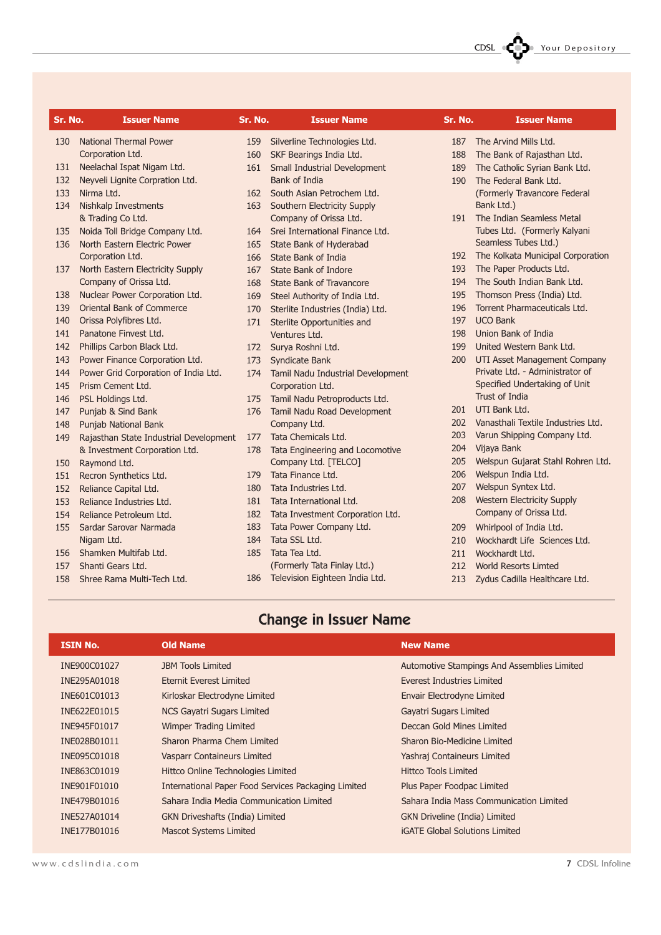| Sr. No. | <b>Issuer Name</b>                     | Sr. No. | <b>Issuer Name</b>                | Sr. No. | <b>Issuer Name</b>                 |
|---------|----------------------------------------|---------|-----------------------------------|---------|------------------------------------|
|         |                                        |         |                                   |         |                                    |
| 130     | <b>National Thermal Power</b>          | 159     | Silverline Technologies Ltd.      | 187     | The Arvind Mills Ltd.              |
|         | Corporation Ltd.                       | 160     | SKF Bearings India Ltd.           | 188     | The Bank of Rajasthan Ltd.         |
| 131     | Neelachal Ispat Nigam Ltd.             | 161     | Small Industrial Development      | 189     | The Catholic Syrian Bank Ltd.      |
| 132     | Neyveli Lignite Corpration Ltd.        |         | Bank of India                     | 190     | The Federal Bank Ltd.              |
| 133     | Nirma Ltd.                             | 162     | South Asian Petrochem Ltd.        |         | (Formerly Travancore Federal       |
| 134     | <b>Nishkalp Investments</b>            | 163     | Southern Electricity Supply       |         | Bank Ltd.)                         |
|         | & Trading Co Ltd.                      |         | Company of Orissa Ltd.            | 191     | The Indian Seamless Metal          |
| 135     | Noida Toll Bridge Company Ltd.         | 164     | Srei International Finance Ltd.   |         | Tubes Ltd. (Formerly Kalyani       |
| 136     | North Eastern Electric Power           | 165     | State Bank of Hyderabad           |         | Seamless Tubes Ltd.)               |
|         | Corporation Ltd.                       | 166     | State Bank of India               | 192     | The Kolkata Municipal Corporation  |
| 137     | North Eastern Electricity Supply       | 167     | State Bank of Indore              | 193     | The Paper Products Ltd.            |
|         | Company of Orissa Ltd.                 | 168     | State Bank of Travancore          | 194     | The South Indian Bank Ltd.         |
| 138     | Nuclear Power Corporation Ltd.         | 169     | Steel Authority of India Ltd.     | 195     | Thomson Press (India) Ltd.         |
| 139     | Oriental Bank of Commerce              | 170     | Sterlite Industries (India) Ltd.  | 196     | Torrent Pharmaceuticals Ltd.       |
| 140     | Orissa Polyfibres Ltd.                 | 171     | Sterlite Opportunities and        | 197     | <b>UCO Bank</b>                    |
| 141     | Panatone Finvest Ltd.                  |         | Ventures Ltd.                     | 198     | Union Bank of India                |
| 142     | Phillips Carbon Black Ltd.             | 172     | Surya Roshni Ltd.                 | 199     | United Western Bank Ltd.           |
| 143     | Power Finance Corporation Ltd.         | 173     | Syndicate Bank                    | 200     | UTI Asset Management Company       |
| 144     | Power Grid Corporation of India Ltd.   | 174     | Tamil Nadu Industrial Development |         | Private Ltd. - Administrator of    |
| 145     | Prism Cement Ltd.                      |         | Corporation Ltd.                  |         | Specified Undertaking of Unit      |
| 146     | PSL Holdings Ltd.                      | 175     | Tamil Nadu Petroproducts Ltd.     |         | Trust of India                     |
| 147     | Punjab & Sind Bank                     | 176     | Tamil Nadu Road Development       | 201     | UTI Bank Ltd.                      |
| 148     | Punjab National Bank                   |         | Company Ltd.                      | 202     | Vanasthali Textile Industries Ltd. |
| 149     | Rajasthan State Industrial Development | 177     | Tata Chemicals Ltd.               | 203     | Varun Shipping Company Ltd.        |
|         | & Investment Corporation Ltd.          | 178     | Tata Engineering and Locomotive   | 204     | Vijaya Bank                        |
| 150     | Raymond Ltd.                           |         | Company Ltd. [TELCO]              | 205     | Welspun Gujarat Stahl Rohren Ltd.  |
| 151     | Recron Synthetics Ltd.                 | 179     | Tata Finance Ltd.                 | 206     | Welspun India Ltd.                 |
| 152     | Reliance Capital Ltd.                  | 180     | Tata Industries Ltd.              | 207     | Welspun Syntex Ltd.                |
| 153     | Reliance Industries Ltd.               | 181     | Tata International Ltd.           | 208     | <b>Western Electricity Supply</b>  |
| 154     | Reliance Petroleum Ltd.                | 182     | Tata Investment Corporation Ltd.  |         | Company of Orissa Ltd.             |
| 155     | Sardar Sarovar Narmada                 | 183     | Tata Power Company Ltd.           | 209     | Whirlpool of India Ltd.            |
|         | Nigam Ltd.                             | 184     | Tata SSL Ltd.                     | 210     | Wockhardt Life Sciences Ltd.       |
| 156     | Shamken Multifab Ltd.                  | 185     | Tata Tea Ltd.                     | 211     | Wockhardt Ltd.                     |
| 157     | Shanti Gears Ltd.                      |         | (Formerly Tata Finlay Ltd.)       | 212     | <b>World Resorts Limted</b>        |
| 158     | Shree Rama Multi-Tech Ltd.             | 186     | Television Eighteen India Ltd.    | 213     | Zydus Cadilla Healthcare Ltd.      |
|         |                                        |         |                                   |         |                                    |

# Change in Issuer Name

| <b>ISIN No.</b> | <b>Old Name</b>                                                                     | <b>New Name</b>                             |
|-----------------|-------------------------------------------------------------------------------------|---------------------------------------------|
| INE900C01027    | <b>JBM Tools Limited</b>                                                            | Automotive Stampings And Assemblies Limited |
| INE295A01018    | <b>Eternit Everest Limited</b>                                                      | Everest Industries Limited                  |
| INE601C01013    | Kirloskar Electrodyne Limited                                                       | Envair Electrodyne Limited                  |
| INE622E01015    | <b>NCS Gayatri Sugars Limited</b>                                                   | Gayatri Sugars Limited                      |
| INE945F01017    | Wimper Trading Limited                                                              | Deccan Gold Mines Limited                   |
| INE028B01011    | Sharon Pharma Chem Limited                                                          | Sharon Bio-Medicine Limited                 |
| INE095C01018    | Vasparr Containeurs Limited                                                         | Yashraj Containeurs Limited                 |
| INE863C01019    | Hittco Online Technologies Limited                                                  | <b>Hittco Tools Limited</b>                 |
| INE901F01010    | International Paper Food Services Packaging Limited                                 | Plus Paper Foodpac Limited                  |
| INE479B01016    | Sahara India Media Communication Limited<br>Sahara India Mass Communication Limited |                                             |
| INE527A01014    | <b>GKN Driveshafts (India) Limited</b>                                              | GKN Driveline (India) Limited               |
| INE177B01016    | <b>Mascot Systems Limited</b>                                                       | <b>iGATE Global Solutions Limited</b>       |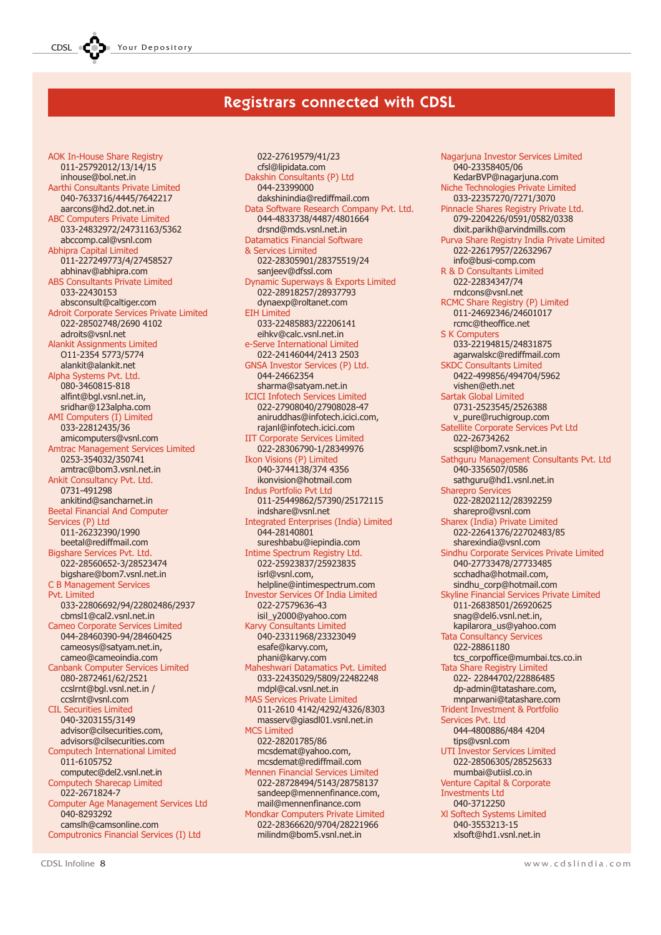### Registrars connected with CDSL

AOK In-House Share Registry 011-25792012/13/14/15 inhouse@bol.net.in Aarthi Consultants Private Limited 040-7633716/4445/7642217 aarcons@hd2.dot.net.in ABC Computers Private Limited 033-24832972/24731163/5362 abccomp.cal@vsnl.com Abhipra Capital Limited 011-227249773/4/27458527 abhinav@abhipra.com ABS Consultants Private Limited 033-22430153 absconsult@caltiger.com Adroit Corporate Services Private Limited 022-28502748/2690 4102 adroits@vsnl.net Alankit Assignments Limited O11-2354 5773/5774 alankit@alankit.net Alpha Systems Pvt. Ltd. 080-3460815-818 alfint@bgl.vsnl.net.in, sridhar@123alpha.com AMI Computers (I) Limited 033-22812435/36 amicomputers@vsnl.com Amtrac Management Services Limited 0253-354032/350741 amtrac@bom3.vsnl.net.in Ankit Consultancy Pvt. Ltd. 0731-491298 ankitind@sancharnet.in Beetal Financial And Computer Services (P) Ltd 011-26232390/1990 beetal@rediffmail.com Bigshare Services Pvt. Ltd. 022-28560652-3/28523474 bigshare@bom7.vsnl.net.in C B Management Services Pvt. Limited 033-22806692/94/22802486/2937 cbmsl1@cal2.vsnl.net.in Cameo Corporate Services Limited 044-28460390-94/28460425 cameosys@satyam.net.in, cameo@cameoindia.com Canbank Computer Services Limited 080-2872461/62/2521 ccslrnt@bgl.vsnl.net.in / ccslrnt@vsnl.com CIL Securities Limited 040-3203155/3149 advisor@cilsecurities.com, advisors@cilsecurities.com Computech International Limited 011-6105752 computec@del2.vsnl.net.in Computech Sharecap Limited 022-2671824-7 Computer Age Management Services Ltd 040-8293292 camslh@camsonline.com Computronics Financial Services (I) Ltd

022-27619579/41/23 cfsl@lipidata.com Dakshin Consultants (P) Ltd 044-23399000 dakshinindia@rediffmail.com Data Software Research Company Pvt. Ltd. 044-4833738/4487/4801664 drsnd@mds.vsnl.net.in Datamatics Financial Software & Services Limited 022-28305901/28375519/24 sanjeev@dfssl.com Dynamic Superways & Exports Limited 022-28918257/28937793 dynaexp@roltanet.com EIH Limited 033-22485883/22206141 eihkv@calc.vsnl.net.in e-Serve International Limited 022-24146044/2413 2503 GNSA Investor Services (P) Ltd. 044-24662354 sharma@satyam.net.in ICICI Infotech Services Limited 022-27908040/27908028-47 aniruddhas@infotech.icici.com, rajanl@infotech.icici.com IIT Corporate Services Limited 022-28306790-1/28349976 Ikon Visions (P) Limited 040-3744138/374 4356 ikonvision@hotmail.com Indus Portfolio Pvt Ltd 011-25449862/57390/25172115 indshare@vsnl.net Integrated Enterprises (India) Limited 044-28140801 sureshbabu@iepindia.com Intime Spectrum Registry Ltd. 022-25923837/25923835 isrl@vsnl.com, helpline@intimespectrum.com Investor Services Of India Limited 022-27579636-43 isil\_y2000@yahoo.com Karvy Consultants Limited 040-23311968/23323049 esafe@karvy.com, phani@karvy.com Maheshwari Datamatics Pvt. Limited 033-22435029/5809/22482248 mdpl@cal.vsnl.net.in MAS Services Private Limited 011-2610 4142/4292/4326/8303 masserv@giasdl01.vsnl.net.in MCS Limited 022-28201785/86 mcsdemat@yahoo.com, mcsdemat@rediffmail.com Mennen Financial Services Limited 022-28728494/5143/28758137 sandeep@mennenfinance.com, mail@mennenfinance.com Mondkar Computers Private Limited 022-28366620/9704/28221966 milindm@bom5.vsnl.net.in

Nagarjuna Investor Services Limited 040-23358405/06 KedarBVP@nagarjuna.com Niche Technologies Private Limited 033-22357270/7271/3070 Pinnacle Shares Registry Private Ltd. 079-2204226/0591/0582/0338 dixit.parikh@arvindmills.com Purva Share Registry India Private Limited 022-22617957/22632967 info@busi-comp.com R & D Consultants Limited 022-22834347/74 rndcons@vsnl.net RCMC Share Registry (P) Limited 011-24692346/24601017 rcmc@theoffice.net S K Computers 033-22194815/24831875 agarwalskc@rediffmail.com SKDC Consultants Limited 0422-499856/494704/5962 vishen@eth.net Sartak Global Limited 0731-2523545/2526388 v\_pure@ruchigroup.com Satellite Corporate Services Pvt Ltd 022-26734262 scspl@bom7.vsnk.net.in Sathguru Management Consultants Pvt. Ltd 040-3356507/0586 sathguru@hd1.vsnl.net.in Sharepro Services 022-28202112/28392259 sharepro@vsnl.com Sharex (India) Private Limited 022-22641376/22702483/85 sharexindia@vsnl.com Sindhu Corporate Services Private Limited 040-27733478/27733485 scchadha@hotmail.com, sindhu\_corp@hotmail.com Skyline Financial Services Private Limited 011-26838501/26920625 snag@del6.vsnl.net.in, kapilarora\_us@yahoo.com Tata Consultancy Services 022-28861180 tcs\_corpoffice@mumbai.tcs.co.in Tata Share Registry Limited 022- 22844702/22886485 dp-admin@tatashare.com, mnparwani@tatashare.com Trident Investment & Portfolio Services Pvt. Ltd 044-4800886/484 4204 tips@vsnl.com UTI Investor Services Limited 022-28506305/28525633 mumbai@utiisl.co.in Venture Capital & Corporate Investments Ltd 040-3712250 Xl Softech Systems Limited 040-3553213-15 xlsoft@hd1.vsnl.net.in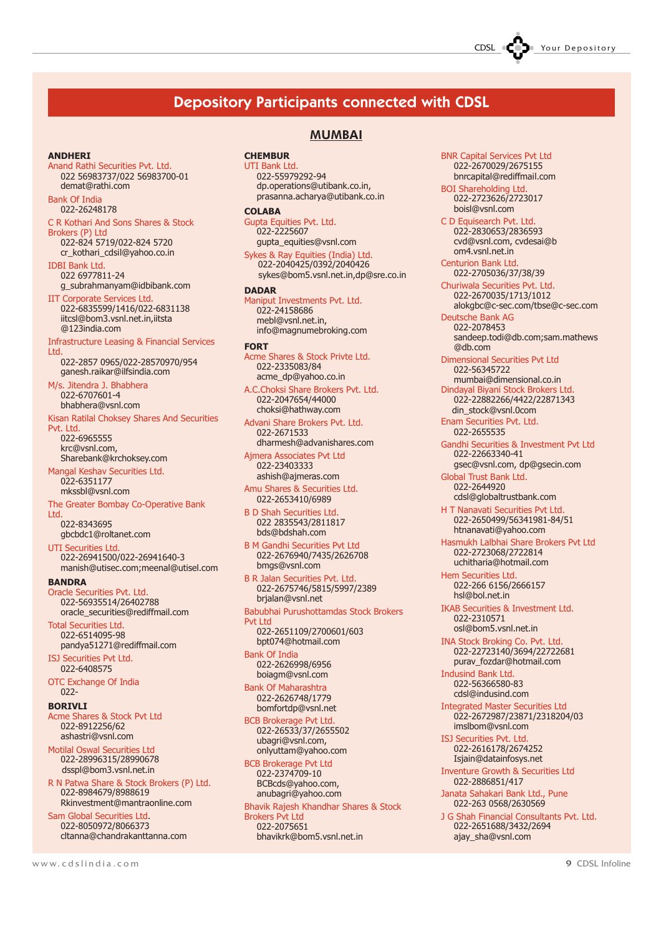### Depository Participants connected with CDSL

### ANDHERI

Anand Rathi Securities Pvt. Ltd. 022 56983737/022 56983700-01 demat@rathi.com

#### Bank Of India 022-26248178

C R Kothari And Sons Shares & Stock Brokers (P) Ltd

022-824 5719/022-824 5720 cr\_kothari\_cdsil@yahoo.co.in

IDBI Bank Ltd. 022 6977811-24 g\_subrahmanyam@idbibank.com

IIT Corporate Services Ltd. 022-6835599/1416/022-6831138 iitcsl@bom3.vsnl.net.in,iitsta @123india.com

Infrastructure Leasing & Financial Services Ltd.

022-2857 0965/022-28570970/954 ganesh.raikar@ilfsindia.com

Jitendra J. Bhabhera 022-6707601-4 bhabhera@vsnl.com

Kisan Ratilal Choksey Shares And Securities Pvt. Ltd.

022-6965555 krc@vsnl.com, Sharebank@krchoksey.com

Mangal Keshav Securities Ltd. 022-6351177 mkssbl@vsnl.com

The Greater Bombay Co-Operative Bank

Ltd. 022-8343695 gbcbdc1@roltanet.com

UTI Securities Ltd. 022-26941500/022-26941640-3 manish@utisec.com;meenal@utisel.com

**BANDRA** 

Oracle Securities Pvt. Ltd. 022-56935514/26402788 oracle\_securities@rediffmail.com

Total Securities Ltd. 022-6514095-98 pandya51271@rediffmail.com

ISJ Securities Pvt Ltd. 022-6408575

OTC Exchange Of India 022-

#### BORIVLI

Acme Shares & Stock Pvt Ltd 022-8912256/62 ashastri@vsnl.com

Motilal Oswal Securities Ltd 022-28996315/28990678 dsspl@bom3.vsnl.net.in

R N Patwa Share & Stock Brokers (P) Ltd. 022-8984679/8988619 Rkinvestment@mantraonline.com

Sam Global Securities Ltd. 022-8050972/8066373 cltanna@chandrakanttanna.com

### MUMBAI

**CHEMBUR** UTI Bank I td.

### 022-55979292-94

dp.operations@utibank.co.in, prasanna.acharya@utibank.co.in COLABA

Gupta Equities Pvt. Ltd. 022-2225607 gupta\_equities@vsnl.com

Sykes & Ray Equities (India) Ltd. 022-2040425/0392/2040426 sykes@bom5.vsnl.net.in,dp@sre.co.in

### DADAR

Maniput Investments Pvt. Ltd. 022-24158686 mebl@vsnl.net.in, info@magnumebroking.com

### FORT

Acme Shares & Stock Privte Ltd. 022-2335083/84 acme\_dp@yahoo.co.in

A.C.Choksi Share Brokers Pvt. Ltd. 022-2047654/44000 choksi@hathway.com

Advani Share Brokers Pvt. Ltd. 022-2671533 dharmesh@advanishares.com

Ajmera Associates Pvt Ltd 022-23403333 ashish@ajmeras.com

Amu Shares & Securities Ltd. 022-2653410/6989

B D Shah Securities Ltd. 022 2835543/2811817 bds@bdshah.com

B M Gandhi Securities Pvt Ltd 022-2676940/7435/2626708 bmgs@vsnl.com

022-2675746/5815/5997/2389 brjalan@vsnl.net

Babubhai Purushottamdas Stock Brokers

bpt074@hotmail.com

022-2626998/6956 boiagm@vsnl.com

022-2626748/1779

022-26533/37/2655502 ubagri@vsnl.com, onlyuttam@yahoo.com

BCB Brokerage Pvt Ltd 022-2374709-10 BCBcds@yahoo.com, anubagri@yahoo.com

Bhavik Rajesh Khandhar Shares & Stock Brokers Pvt Ltd 022-2075651 bhavikrk@bom5.vsnl.net.in

BNR Capital Services Pvt Ltd 022-2670029/2675155 bnrcapital@rediffmail.com

BOI Shareholding Ltd. 022-2723626/2723017 boisl@vsnl.com

C D Equisearch Pvt. Ltd. 022-2830653/2836593 cvd@vsnl.com, cvdesai@b om4.vsnl.net.in Centurion Bank Ltd.

022-2705036/37/38/39

Churiwala Securities Pvt. Ltd. 022-2670035/1713/1012 alokgbc@c-sec.com/tbse@c-sec.com

Deutsche Bank AG 022-2078453 sandeep.todi@db.com;sam.mathews @db.com

Dimensional Securities Pvt Ltd 022-56345722 mumbai@dimensional.co.in

Dindayal Biyani Stock Brokers Ltd. 022-22882266/4422/22871343 din\_stock@vsnl.0com

Enam Securities Pvt. Ltd. 022-2655535

Gandhi Securities & Investment Pvt Ltd 022-22663340-41 gsec@vsnl.com, dp@gsecin.com

Global Trust Bank Ltd. 022-2644920 cdsl@globaltrustbank.com

H T Nanavati Securities Pvt Ltd. 022-2650499/56341981-84/51 htnanavati@yahoo.com

Hasmukh Lalbhai Share Brokers Pvt Ltd 022-2723068/2722814 uchitharia@hotmail.com

Hem Securities Ltd. 022-266 6156/2666157 hsl@bol.net.in

IKAB Securities & Investment Ltd. 022-2310571 osl@bom5.vsnl.net.in

INA Stock Broking Co. Pvt. Ltd. 022-22723140/3694/22722681 purav\_fozdar@hotmail.com

Indusind Bank Ltd. 022-56366580-83 cdsl@indusind.com

Integrated Master Securities Ltd 022-2672987/23871/2318204/03 imslbom@vsnl.com

ISJ Securities Pvt. Ltd. 022-2616178/2674252 Isjain@datainfosys.net

Inventure Growth & Securities Ltd 022-2886851/417

Janata Sahakari Bank Ltd., Pune 022-263 0568/2630569

J G Shah Financial Consultants Pvt. Ltd. 022-2651688/3432/2694 ajay\_sha@vsnl.com

B R Jalan Securities Pvt. Ltd.

### Pvt Ltd 022-2651109/2700601/603

Bank Of India

Bank Of Maharashtra bomfortdp@vsnl.net

BCB Brokerage Pvt Ltd.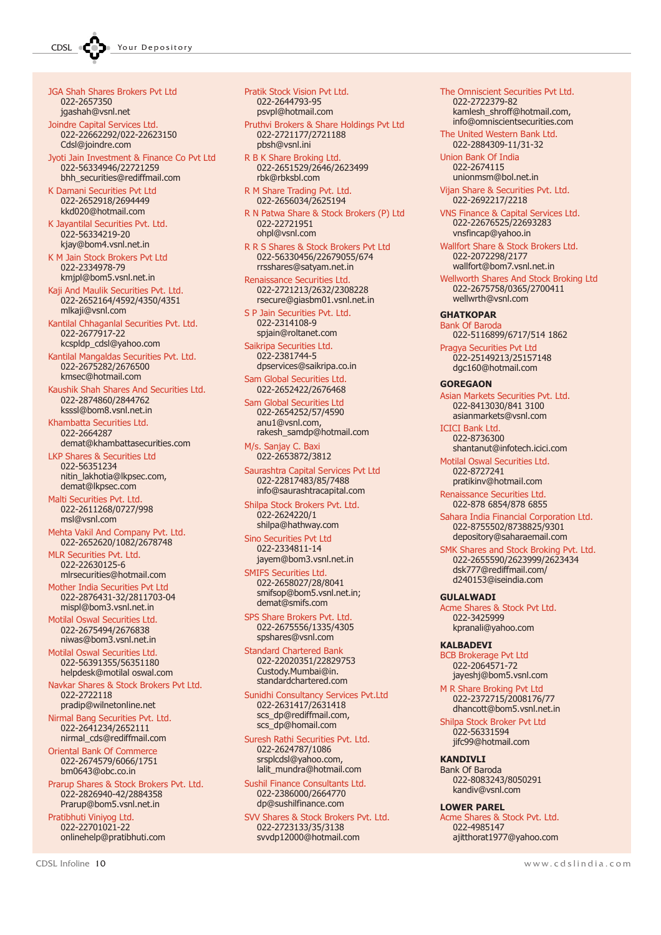JGA Shah Shares Brokers Pvt Ltd 022-2657350 jgashah@vsnl.net

Joindre Capital Services Ltd. 022-22662292/022-22623150 Cdsl@joindre.com

Jyoti Jain Investment & Finance Co Pvt Ltd 022-56334946/22721259 bhh\_securities@rediffmail.com

K Damani Securities Pvt Ltd 022-2652918/2694449 kkd020@hotmail.com

K Jayantilal Securities Pvt. Ltd. 022-56334219-20 kjay@bom4.vsnl.net.in

K M Jain Stock Brokers Pvt Ltd 022-2334978-79 kmjpl@bom5.vsnl.net.in

Kaji And Maulik Securities Pvt. Ltd. 022-2652164/4592/4350/4351 mlkaji@vsnl.com

Kantilal Chhaganlal Securities Pvt. Ltd. 022-2677917-22 kcspldp\_cdsl@yahoo.com

Kantilal Mangaldas Securities Pvt. Ltd. 022-2675282/2676500 kmsec@hotmail.com

Kaushik Shah Shares And Securities Ltd. 022-2874860/2844762 ksssl@bom8.vsnl.net.in

Khambatta Securities Ltd. 022-2664287 demat@khambattasecurities.com

LKP Shares & Securities Ltd 022-56351234 nitin\_lakhotia@lkpsec.com, demat@lkpsec.com

Malti Securities Pvt. Ltd. 022-2611268/0727/998 msl@vsnl.com

Mehta Vakil And Company Pvt. Ltd. 022-2652620/1082/2678748

MLR Securities Pvt. Ltd. 022-22630125-6 mlrsecurities@hotmail.com

Mother India Securities Pvt Ltd 022-2876431-32/2811703-04 mispl@bom3.vsnl.net.in

Motilal Oswal Securities Ltd. 022-2675494/2676838 niwas@bom3.vsnl.net.in

Motilal Oswal Securities Ltd. 022-56391355/56351180 helpdesk@motilal oswal.com

Navkar Shares & Stock Brokers Pvt Ltd. 022-2722118 pradip@wilnetonline.net

Nirmal Bang Securities Pvt. Ltd. 022-2641234/2652111 nirmal\_cds@rediffmail.com

Oriental Bank Of Commerce 022-2674579/6066/1751 bm0643@obc.co.in

Prarup Shares & Stock Brokers Pvt. Ltd. 022-2826940-42/2884358 Prarup@bom5.vsnl.net.in

Pratibhuti Viniyog Ltd. 022-22701021-22 onlinehelp@pratibhuti.com Pratik Stock Vision Pvt Ltd. 022-2644793-95 psvpl@hotmail.com

Pruthvi Brokers & Share Holdings Pvt Ltd 022-2721177/2721188 pbsh@vsnl.ini

R B K Share Broking Ltd. 022-2651529/2646/2623499 rbk@rbksbl.com

R M Share Trading Pvt. Ltd. 022-2656034/2625194

R N Patwa Share & Stock Brokers (P) Ltd 022-22721951 ohpl@vsnl.com

R R S Shares & Stock Brokers Pvt Ltd 022-56330456/22679055/674 rrsshares@satyam.net.in

Renaissance Securities Ltd. 022-2721213/2632/2308228 rsecure@giasbm01.vsnl.net.in

S P Jain Securities Pvt. Ltd. 022-2314108-9 spjain@roltanet.com

Saikripa Securities Ltd. 022-2381744-5 dpservices@saikripa.co.in

Sam Global Securities Ltd. 022-2652422/2676468

Sam Global Securities Ltd 022-2654252/57/4590 anu1@vsnl.com, rakesh\_samdp@hotmail.com

M/s. Sanjay C. Baxi 022-2653872/3812

Saurashtra Capital Services Pvt Ltd 022-22817483/85/7488 info@saurashtracapital.com

Shilpa Stock Brokers Pvt. Ltd. 022-2624220/1 shilpa@hathway.com

Sino Securities Pvt Ltd 022-2334811-14 jayem@bom3.vsnl.net.in

SMIFS Securities Ltd. 022-2658027/28/8041 smifsop@bom5.vsnl.net.in; demat@smifs.com

SPS Share Brokers Pvt. Ltd. 022-2675556/1335/4305 spshares@vsnl.com

Standard Chartered Bank 022-22020351/22829753 Custody.Mumbai@in. standardchartered.com

Sunidhi Consultancy Services Pvt.Ltd 022-2631417/2631418 scs\_dp@rediffmail.com, scs\_dp@homail.com

Suresh Rathi Securities Pvt. Ltd. 022-2624787/1086 srsplcdsl@yahoo.com, lalit\_mundra@hotmail.com

Sushil Finance Consultants Ltd. 022-2386000/2664770 dp@sushilfinance.com

SVV Shares & Stock Brokers Pvt. Ltd. 022-2723133/35/3138 svvdp12000@hotmail.com

### The Omniscient Securities Pvt Ltd.

022-2722379-82 kamlesh\_shroff@hotmail.com, info@omniscientsecurities.com The United Western Bank Ltd.

022-2884309-11/31-32 Union Bank Of India

022-2674115 unionmsm@bol.net.in

Vijan Share & Securities Pvt. Ltd. 022-2692217/2218

VNS Finance & Capital Services Ltd. 022-22676525/22693283 vnsfincap@yahoo.in

Wallfort Share & Stock Brokers Ltd. 022-2072298/2177 wallfort@bom7.vsnl.net.in

Wellworth Shares And Stock Broking Ltd 022-2675758/0365/2700411 wellwrth@vsnl.com

**GHATKOPAR** 

Bank Of Baroda 022-5116899/6717/514 1862

Pragya Securities Pvt Ltd 022-25149213/25157148 dgc160@hotmail.com

### **GOREGAON**

Asian Markets Securities Pvt. Ltd. 022-8413030/841 3100 asianmarkets@vsnl.com

ICICI Bank Ltd. 022-8736300

shantanut@infotech.icici.com Motilal Oswal Securities Ltd. 022-8727241

pratikinv@hotmail.com Renaissance Securities Ltd.

022-878 6854/878 6855

Sahara India Financial Corporation Ltd. 022-8755502/8738825/9301 depository@saharaemail.com

SMK Shares and Stock Broking Pvt. Ltd. 022-2655590/2623999/2623434 dsk777@rediffmail.com/ d240153@iseindia.com

### GULALWADI

Acme Shares & Stock Pvt Ltd. 022-3425999 kpranali@yahoo.com

### KALBADEVI

BCB Brokerage Pvt Ltd 022-2064571-72 jayeshj@bom5.vsnl.com

M R Share Broking Pvt Ltd 022-2372715/2008176/77 dhancott@bom5.vsnl.net.in

Shilpa Stock Broker Pvt Ltd 022-56331594 jifc99@hotmail.com

**KANDIVIT** Bank Of Baroda 022-8083243/8050291 kandiv@vsnl.com

### LOWER PAREL

Acme Shares & Stock Pvt. Ltd. 022-4985147 ajitthorat1977@yahoo.com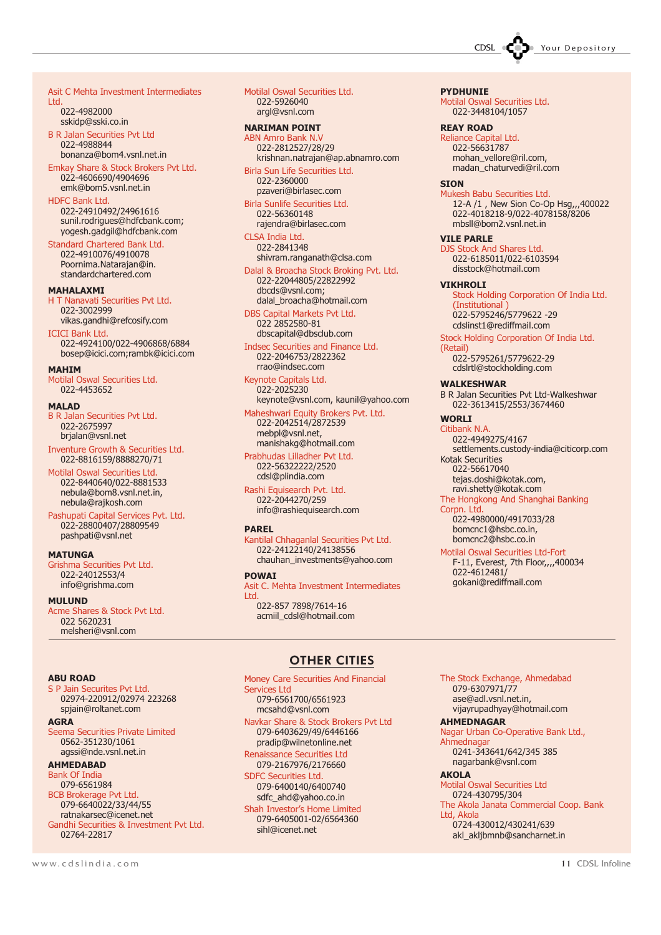CDSL **COD** Your Depository

#### Asit C Mehta Investment Intermediates Ltd.

022-4982000 sskidp@sski.co.in

B R Jalan Securities Pvt Ltd 022-4988844 bonanza@bom4.vsnl.net.in

Emkay Share & Stock Brokers Pvt Ltd. 022-4606690/4904696 emk@bom5.vsnl.net.in

### HDFC Bank Ltd.

022-24910492/24961616 sunil.rodrigues@hdfcbank.com; yogesh.gadgil@hdfcbank.com

Standard Chartered Bank Ltd. 022-4910076/4910078 Poornima.Natarajan@in. standardchartered.com

### MAHALAXMI

H T Nanavati Securities Pvt Ltd. 022-3002999 vikas.gandhi@refcosify.com

### ICICI Bank Ltd.

022-4924100/022-4906868/6884 bosep@icici.com;rambk@icici.com

### **MAHTM**

Motilal Oswal Securities Ltd. 022-4453652

#### MALAD

B R Jalan Securities Pvt Ltd. 022-2675997 brjalan@vsnl.net

Inventure Growth & Securities Ltd. 022-8816159/8888270/71

Motilal Oswal Securities Ltd. 022-8440640/022-8881533 nebula@bom8.vsnl.net.in, nebula@rajkosh.com

Pashupati Capital Services Pvt. Ltd. 022-28800407/28809549 pashpati@vsnl.net

### **MATUNGA**

Grishma Securities Pvt Ltd. 022-24012553/4 info@grishma.com

### MULUND

Acme Shares & Stock Pvt Ltd. 022 5620231 melsheri@vsnl.com

Motilal Oswal Securities Ltd. 022-5926040 argl@vsnl.com

### NARIMAN POINT

ABN Amro Bank N.V 022-2812527/28/29 krishnan.natrajan@ap.abnamro.com

Birla Sun Life Securities Ltd. 022-2360000 pzaveri@birlasec.com

Birla Sunlife Securities Ltd. 022-56360148 rajendra@birlasec.com

CLSA India Ltd. 022-2841348 shivram.ranganath@clsa.com

Dalal & Broacha Stock Broking Pvt. Ltd. 022-22044805/22822992 dbcds@vsnl.com; dalal\_broacha@hotmail.com

DBS Capital Markets Pvt Ltd. 022 2852580-81 dbscapital@dbsclub.com

Indsec Securities and Finance Ltd. 022-2046753/2822362 rrao@indsec.com

Keynote Capitals Ltd. 022-2025230 keynote@vsnl.com, kaunil@yahoo.com

Maheshwari Equity Brokers Pvt. Ltd.

022-2042514/2872539 mebpl@vsnl.net, manishakg@hotmail.com

Prabhudas Lilladher Pvt Ltd. 022-56322222/2520 cdsl@plindia.com

Rashi Equisearch Pvt. Ltd. 022-2044270/259 info@rashiequisearch.com

### PAREL

Kantilal Chhaganlal Securities Pvt Ltd. 022-24122140/24138556 chauhan\_investments@yahoo.com

### POWAI

Asit C. Mehta Investment Intermediates Ltd.

022-857 7898/7614-16 acmiil\_cdsl@hotmail.com PYDHUNIE

Motilal Oswal Securities Ltd. 022-3448104/1057

REAY ROAD

Reliance Capital Ltd. 022-56631787 mohan\_vellore@ril.com, madan\_chaturvedi@ril.com

### **STON**

Mukesh Babu Securities Ltd. 12-A /1 , New Sion Co-Op Hsg,,,400022 022-4018218-9/022-4078158/8206 mbsll@bom2.vsnl.net.in

### VILE PARLE

DJS Stock And Shares Ltd. 022-6185011/022-6103594 disstock@hotmail.com

### VIKHROLI

Stock Holding Corporation Of India Ltd. (Institutional ) 022-5795246/5779622 -29 cdslinst1@rediffmail.com

Stock Holding Corporation Of India Ltd.

(Retail) 022-5795261/5779622-29 cdslrtl@stockholding.com

### WALKESHWAR

B R Jalan Securities Pvt Ltd-Walkeshwar 022-3613415/2553/3674460

WORLI

Citibank N.A. 022-4949275/4167 settlements.custody-india@citicorp.com Kotak Securities art Secarities<br>022-56617040 tejas.doshi@kotak.com, ravi.shetty@kotak.com

The Hongkong And Shanghai Banking Corpn. Ltd. 022-4980000/4917033/28

bomcnc1@hsbc.co.in, bomcnc2@hsbc.co.in

Motilal Oswal Securities Ltd-Fort F-11, Everest, 7th Floor,,,,400034 022-4612481/ gokani@rediffmail.com

### ABU ROAD

S P Jain Securites Pvt Ltd. 02974-220912/02974 223268 spjain@roltanet.com

### AGRA

Seema Securities Private Limited 0562-351230/1061 agssi@nde.vsnl.net.in

### AHMEDABAD

Bank Of India 079-6561984 BCB Brokerage Pvt Ltd. 079-6640022/33/44/55 ratnakarsec@icenet.net Gandhi Securities & Investment Pvt Ltd. 02764-22817

### OTHER CITIES

Money Care Securities And Financial Services Ltd 079-6561700/6561923 mcsahd@vsnl.com Navkar Share & Stock Brokers Pvt Ltd 079-6403629/49/6446166 pradip@wilnetonline.net Renaissance Securities Ltd 079-2167976/2176660

SDFC Securities Ltd. 079-6400140/6400740 sdfc\_ahd@yahoo.co.in

Shah Investor's Home Limited 079-6405001-02/6564360 sihl@icenet.net

The Stock Exchange, Ahmedabad 079-6307971/77 ase@adl.vsnl.net.in, vijayrupadhyay@hotmail.com

### AHMEDNAGAR

Nagar Urban Co-Operative Bank Ltd., Ahmednagar 0241-343641/642/345 385 nagarbank@vsnl.com

### AKOLA

Motilal Oswal Securities Ltd 0724-430795/304 The Akola Janata Commercial Coop. Bank Ltd, Akola

0724-430012/430241/639 akl\_akljbmnb@sancharnet.in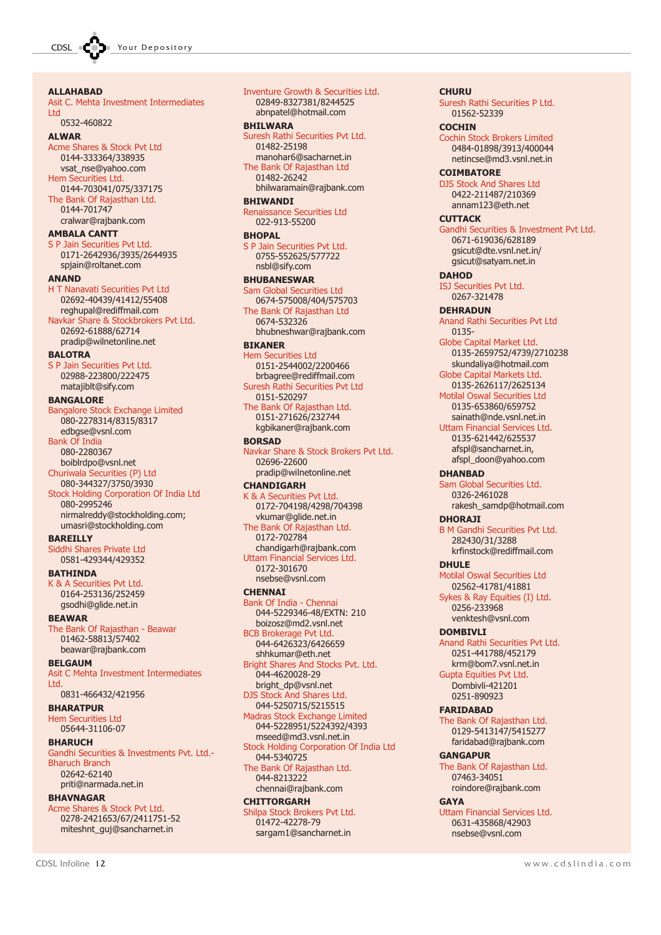### ALLAHABAD Asit C. Mehta Investment Intermediates Ltd 0532-460822 **ALWAR** Acme Shares & Stock Pvt Ltd 0144-333364/338935 vsat\_nse@yahoo.com Hem Securities Ltd. 0144-703041/075/337175 The Bank Of Rajasthan Ltd. 0144-701747 cralwar@rajbank.com AMBALA CANTT S P Jain Securities Pvt Ltd. 0171-2642936/3935/2644935 spjain@roltanet.com **ANAND** H T Nanavati Securities Pvt Ltd 02692-40439/41412/55408 reghupal@rediffmail.com Navkar Share & Stockbrokers Pvt Ltd. 02692-61888/62714 pradip@wilnetonline.net **BALOTRA** S P Jain Securities Pvt Ltd. 02988-223800/222475 matajiblt@sify.com BANGALORE Bangalore Stock Exchange Limited 080-2278314/8315/8317 edbgse@vsnl.com Bank Of India 080-2280367 boiblrdpo@vsnl.net Churiwala Securities (P) Ltd 080-344327/3750/3930 Stock Holding Corporation Of India Ltd 080-2995246 nirmalreddy@stockholding.com; umasri@stockholding.com BAREILLY Siddhi Shares Private Ltd 0581-429344/429352 BATHINDA K & A Securities Pvt Ltd. 0164-253136/252459 gsodhi@glide.net.in **BEAWAR** The Bank Of Rajasthan - Beawar 01462-58813/57402 beawar@rajbank.com BELGAUM Asit C Mehta Investment Intermediates **Ltd.** 0831-466432/421956 BHARATPUR Hem Securities Ltd 05644-31106-07 **BHARUCH** Gandhi Securities & Investments Pvt. Ltd.- Bharuch Branch 02642-62140 priti@narmada.net.in BHAVNAGAR Acme Shares & Stock Pvt Ltd. 0278-2421653/67/2411751-52 miteshnt\_quj@sancharnet.in

Inventure Growth & Securities Ltd. 02849-8327381/8244525 abnpatel@hotmail.com BHILWARA Suresh Rathi Securities Pvt Ltd. 01482-25198 manohar6@sacharnet.in The Bank Of Rajasthan Ltd 01482-26242 bhilwaramain@rajbank.com BHIWANDI Renaissance Securities Ltd 022-913-55200 **BHOPAL** S P Jain Securities Pvt Ltd. 0755-552625/577722 nsbl@sify.com BHUBANESWAR Sam Global Securities Ltd 0674-575008/404/575703 The Bank Of Rajasthan Ltd 0674-532326 bhubneshwar@rajbank.com BIKANER Hem Securities Ltd 0151-2544002/2200466 brbagree@rediffmail.com Suresh Rathi Securities Pvt Ltd 0151-520297 The Bank Of Rajasthan Ltd. 0151-271626/232744 kgbikaner@rajbank.com BORSAD Navkar Share & Stock Brokers Pvt Ltd. 02696-22600 pradip@wilnetonline.net CHANDIGARH K & A Securities Pvt Ltd. 0172-704198/4298/704398 vkumar@glide.net.in The Bank Of Rajasthan Ltd. 0172-702784 chandigarh@rajbank.com Uttam Financial Services Ltd. 0172-301670 nsebse@vsnl.com **CHENNAI** Bank Of India - Chennai 044-5229346-48/EXTN: 210 boizosz@md2.vsnl.net BCB Brokerage Pvt Ltd. 044-6426323/6426659 shhkumar@eth.net Bright Shares And Stocks Pvt. Ltd. 044-4620028-29 bright\_dp@vsnl.net DJS Stock And Shares Ltd. 044-5250715/5215515 Madras Stock Exchange Limited 044-5228951/5224392/4393 mseed@md3.vsnl.net.in Stock Holding Corporation Of India Ltd 044-5340725 The Bank Of Rajasthan Ltd. 044-8213222 chennai@rajbank.com **CHITTORGARH** 

Shilpa Stock Brokers Pvt Ltd. 01472-42278-79 sargam1@sancharnet.in

**CHURU** Suresh Rathi Securities P Ltd. 01562-52339 **COCHIN** Cochin Stock Brokers Limited 0484-01898/3913/400044 netincse@md3.vsnl.net.in **COIMBATORE** DJS Stock And Shares Ltd 0422-211487/210369 annam123@eth.net **CUTTACK** Gandhi Securities & Investment Pvt Ltd. 0671-619036/628189 gsicut@dte.vsnl.net.in/ gsicut@satyam.net.in **DAHOD** ISJ Securities Pvt Ltd. 0267-321478 **DEHRADUN** Anand Rathi Securities Pvt Ltd 0135- Globe Capital Market Ltd. 0135-2659752/4739/2710238 skundaliya@hotmail.com Globe Capital Markets Ltd. 0135-2626117/2625134 Motilal Oswal Securities Ltd 0135-653860/659752 sainath@nde.vsnl.net.in Uttam Financial Services Ltd. 0135-621442/625537 afspl@sancharnet.in, afspl\_doon@yahoo.com DHANBAD Sam Global Securities Ltd. 0326-2461028 rakesh\_samdp@hotmail.com DHORAJI B M Gandhi Securities Pvt Ltd. 282430/31/3288 krfinstock@rediffmail.com DHULE Motilal Oswal Securities Ltd 02562-41781/41881 Sykes & Ray Equities (I) Ltd. 0256-233968 venktesh@vsnl.com DOMBTVLT Anand Rathi Securities Pvt Ltd. 0251-441788/452179 krm@bom7.vsnl.net.in Gupta Equities Pvt Ltd. Dombivli-421201 0251-890923 FARIDABAD The Bank Of Rajasthan Ltd. 0129-5413147/5415277 faridabad@rajbank.com **GANGAPUR** The Bank Of Rajasthan Ltd. 07463-34051 roindore@rajbank.com **GAYA** Uttam Financial Services Ltd. 0631-435868/42903 nsebse@vsnl.com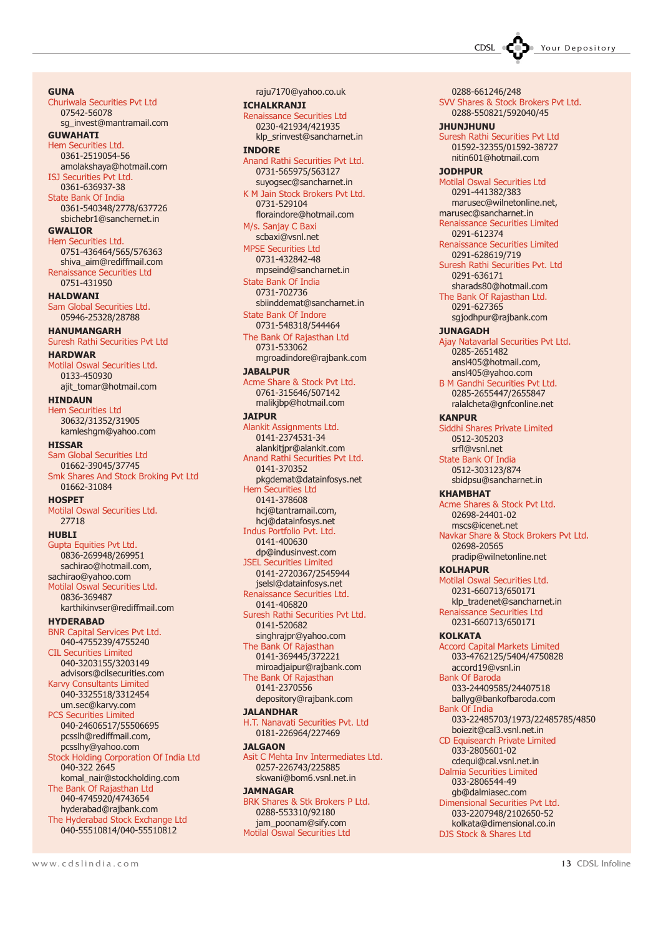CDSL Control Your Depository

**GUNA** Churiwala Securities Pvt Ltd 07542-56078 sg\_invest@mantramail.com **GUWAHATI** Hem Securities Ltd. 0361-2519054-56 amolakshaya@hotmail.com ISJ Securities Pvt Ltd. 0361-636937-38 State Bank Of India 0361-540348/2778/637726 sbichebr1@sanchernet.in GWALIOR Hem Securities Ltd. 0751-436464/565/576363 shiva\_aim@rediffmail.com Renaissance Securities Ltd 0751-431950 HALDWANI Sam Global Securities Ltd. 05946-25328/28788 HANUMANGARH Suresh Rathi Securities Pvt Ltd HARDWAR Motilal Oswal Securities Ltd. 0133-450930 ajit\_tomar@hotmail.com HINDAUN Hem Securities Ltd 30632/31352/31905 kamleshgm@yahoo.com **HISSAR** Sam Global Securities Ltd 01662-39045/37745 Smk Shares And Stock Broking Pvt Ltd 01662-31084 **HOSPET** Motilal Oswal Securities Ltd. 27718 **HURLT** Gupta Equities Pvt Ltd. 0836-269948/269951 sachirao@hotmail.com, sachirao@yahoo.com Motilal Oswal Securities Ltd. 0836-369487 karthikinvser@rediffmail.com HYDERABAD BNR Capital Services Pvt Ltd. 040-4755239/4755240 CIL Securities Limited 040-3203155/3203149 advisors@cilsecurities.com Karvy Consultants Limited 040-3325518/3312454 um.sec@karvy.com PCS Securities Limited 040-24606517/55506695 pcsslh@rediffmail.com, pcsslhy@yahoo.com Stock Holding Corporation Of India Ltd 040-322 2645 komal\_nair@stockholding.com The Bank Of Rajasthan Ltd 040-4745920/4743654 hyderabad@rajbank.com The Hyderabad Stock Exchange Ltd 040-55510814/040-55510812

raju7170@yahoo.co.uk ICHALKRANJI

Renaissance Securities Ltd 0230-421934/421935 klp\_srinvest@sancharnet.in INDORE Anand Rathi Securities Pvt Ltd. 0731-565975/563127 suyogsec@sancharnet.in

K M Jain Stock Brokers Pvt Ltd. 0731-529104 floraindore@hotmail.com M/s. Sanjay C Baxi scbaxi@vsnl.net MPSE Securities Ltd 0731-432842-48 mpseind@sancharnet.in State Bank Of India 0731-702736 sbiinddemat@sancharnet.in

State Bank Of Indore 0731-548318/544464 The Bank Of Rajasthan Ltd 0731-533062

mgroadindore@rajbank.com

**JABALPUR** Acme Share & Stock Pvt Ltd.

0761-315646/507142 malikjbp@hotmail.com JAIPUR

Alankit Assignments Ltd. 0141-2374531-34 alankitjpr@alankit.com Anand Rathi Securities Pvt Ltd. 0141-370352 pkgdemat@datainfosys.net Hem Securities Ltd

0141-378608 hcj@tantramail.com, hcj@datainfosys.net Indus Portfolio Pvt. Ltd. 0141-400630

dp@indusinvest.com JSEL Securities Limited 0141-2720367/2545944 jselsl@datainfosys.net

Renaissance Securities Ltd. 0141-406820 Suresh Rathi Securities Pvt Ltd. 0141-520682

singhrajpr@yahoo.com The Bank Of Rajasthan 0141-369445/372221 miroadjaipur@rajbank.com The Bank Of Rajasthan 0141-2370556

depository@rajbank.com **JALANDHAR** 

H.T. Nanavati Securities Pvt. Ltd 0181-226964/227469

**JALGAON** Asit C Mehta Inv Intermediates Ltd. 0257-226743/225885

skwani@bom6.vsnl.net.in JAMNAGAR

BRK Shares & Stk Brokers P Ltd. 0288-553310/92180 jam\_poonam@sify.com Motilal Oswal Securities Ltd

0288-661246/248 SVV Shares & Stock Brokers Pvt Ltd. 0288-550821/592040/45 JHUNJHUNU Suresh Rathi Securities Pvt Ltd 01592-32355/01592-38727 nitin601@hotmail.com JODHPUR Motilal Oswal Securities Ltd 0291-441382/383 marusec@wilnetonline.net, marusec@sancharnet.in Renaissance Securities Limited 0291-612374 Renaissance Securities Limited 0291-628619/719 Suresh Rathi Securities Pvt. Ltd 0291-636171 sharads80@hotmail.com The Bank Of Rajasthan Ltd. 0291-627365 sgjodhpur@rajbank.com **JUNAGADH** Ajay Natavarlal Securities Pvt Ltd. 0285-2651482 ansl405@hotmail.com, ansl405@yahoo.com B M Gandhi Securities Pvt Ltd. 0285-2655447/2655847 ralalcheta@gnfconline.net KANPUR Siddhi Shares Private Limited 0512-305203 srfl@vsnl.net State Bank Of India 0512-303123/874 sbidpsu@sancharnet.in KHAMBHAT Acme Shares & Stock Pvt Ltd. 02698-24401-02 mscs@icenet.net Navkar Share & Stock Brokers Pvt Ltd. 02698-20565 pradip@wilnetonline.net **KOLHAPUR** Motilal Oswal Securities Ltd. 0231-660713/650171 klp\_tradenet@sancharnet.in Renaissance Securities Ltd 0231-660713/650171 **KOLKATA** Accord Capital Markets Limited 033-4762125/5404/4750828 accord19@vsnl.in Bank Of Baroda 033-24409585/24407518 ballyg@bankofbaroda.com Bank Of India 033-22485703/1973/22485785/4850 boiezit@cal3.vsnl.net.in CD Equisearch Private Limited 033-2805601-02 cdequi@cal.vsnl.net.in Dalmia Securities Limited 033-2806544-49 gb@dalmiasec.com Dimensional Securities Pvt Ltd. 033-2207948/2102650-52 kolkata@dimensional.co.in DJS Stock & Shares Ltd

www.cdslindia.com 13 CDSL Infoline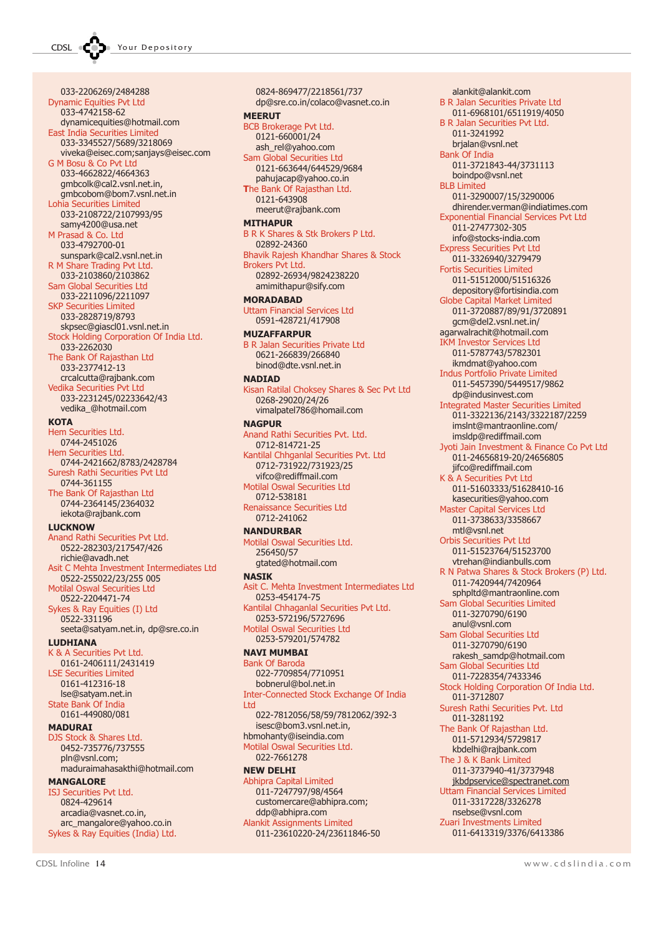033-2206269/2484288 Dynamic Equities Pvt Ltd 033-4742158-62 dynamicequities@hotmail.com East India Securities Limited 033-3345527/5689/3218069 viveka@eisec.com;sanjays@eisec.com G M Bosu & Co Pvt Ltd 033-4662822/4664363 gmbcolk@cal2.vsnl.net.in, gmbcobom@bom7.vsnl.net.in Lohia Securities Limited 033-2108722/2107993/95 samy4200@usa.net M Prasad & Co. Ltd 033-4792700-01 sunspark@cal2.vsnl.net.in R M Share Trading Pvt Ltd. 033-2103860/2103862 Sam Global Securities Ltd 033-2211096/2211097 SKP Securities Limited 033-2828719/8793 skpsec@giascl01.vsnl.net.in Stock Holding Corporation Of India Ltd. 033-2262030 The Bank Of Rajasthan Ltd 033-2377412-13 crcalcutta@rajbank.com Vedika Securities Pvt Ltd 033-2231245/02233642/43 vedika\_@hotmail.com **KOTA** Hem Securities Ltd. 0744-2451026 Hem Securities Ltd. 0744-2421662/8783/2428784 Suresh Rathi Securities Pvt Ltd 0744-361155 The Bank Of Rajasthan Ltd 0744-2364145/2364032 iekota@rajbank.com **LUCKNOW** Anand Rathi Securities Pvt Ltd. 0522-282303/217547/426 richie@avadh.net Asit C Mehta Investment Intermediates Ltd 0522-255022/23/255 005 Motilal Oswal Securities Ltd 0522-2204471-74 Sykes & Ray Equities (I) Ltd 0522-331196 seeta@satyam.net.in, dp@sre.co.in LUDHIANA K & A Securities Pvt Ltd. 0161-2406111/2431419 LSE Securities Limited 0161-412316-18 lse@satyam.net.in State Bank Of India 0161-449080/081 MADURAI DJS Stock & Shares Ltd. 0452-735776/737555

pln@vsnl.com; maduraimahasakthi@hotmail.com **MANGALORE** 

### ISJ Securities Pvt Ltd. 0824-429614 arcadia@vasnet.co.in,

arc\_mangalore@yahoo.co.in Sykes & Ray Equities (India) Ltd.

0824-869477/2218561/737 dp@sre.co.in/colaco@vasnet.co.in **MEERUT** BCB Brokerage Pvt Ltd. 0121-660001/24 ash\_rel@yahoo.com Sam Global Securities Ltd 0121-663644/644529/9684 pahujacap@yahoo.co.in The Bank Of Rajasthan Ltd. 0121-643908 meerut@rajbank.com MITHAPUR B R K Shares & Stk Brokers P Ltd. 02892-24360 Bhavik Rajesh Khandhar Shares & Stock Brokers Pvt Ltd. 02892-26934/9824238220 amimithapur@sify.com MORADABAD Uttam Financial Services Ltd 0591-428721/417908 MUZAFFARPUR B R Jalan Securities Private Ltd 0621-266839/266840 binod@dte.vsnl.net.in **NADIAD** Kisan Ratilal Choksey Shares & Sec Pvt Ltd 0268-29020/24/26 vimalpatel786@homail.com **NAGPUR** Anand Rathi Securities Pvt. Ltd. 0712-814721-25 Kantilal Chhganlal Securities Pvt. Ltd 0712-731922/731923/25 vifco@rediffmail.com Motilal Oswal Securities Ltd 0712-538181 Renaissance Securities Ltd 0712-241062 **NANDURRAR** Motilal Oswal Securities Ltd. 256450/57 gtated@hotmail.com NASIK Asit C. Mehta Investment Intermediates Ltd 0253-454174-75 Kantilal Chhaganlal Securities Pvt Ltd. 0253-572196/5727696 Motilal Oswal Securities Ltd 0253-579201/574782 NAVI MUMBAI Bank Of Baroda 022-7709854/7710951 bobnerul@bol.net.in Inter-Connected Stock Exchange Of India Ltd 022-7812056/58/59/7812062/392-3 isesc@bom3.vsnl.net.in, hbmohanty@iseindia.com Motilal Oswal Securities Ltd. 022-7661278 NEW DELHI Abhipra Capital Limited 011-7247797/98/4564 customercare@abhipra.com; ddp@abhipra.com Alankit Assignments Limited

011-23610220-24/23611846-50

Orbis Securities Pvt Ltd 011-51523764/51523700 vtrehan@indianbulls.com R N Patwa Shares & Stock Brokers (P) Ltd. 011-7420944/7420964 sphpltd@mantraonline.com Sam Global Securities Limited 011-3270790/6190 anul@vsnl.com Sam Global Securities Ltd 011-3270790/6190 rakesh\_samdp@hotmail.com Sam Global Securities Ltd 011-7228354/7433346 Stock Holding Corporation Of India Ltd. 011-3712807 Suresh Rathi Securities Pvt. Ltd 011-3281192 The Bank Of Rajasthan Ltd. 011-5712934/5729817 kbdelhi@rajbank.com The J & K Bank Limited 011-3737940-41/3737948 jkbdpservice@spectranet.com Uttam Financial Services Limited 011-3317228/3326278 nsebse@vsnl.com Zuari Investments Limited 011-6413319/3376/6413386

alankit@alankit.com B R Jalan Securities Private Ltd 011-6968101/6511919/4050 B R Jalan Securities Pvt Ltd. 011-3241992 brjalan@vsnl.net Bank Of India

011-3721843-44/3731113 boindpo@vsnl.net

011-3290007/15/3290006 dhirender.verman@indiatimes.com Exponential Financial Services Pvt Ltd

Jyoti Jain Investment & Finance Co Pvt Ltd 011-24656819-20/24656805 jifco@rediffmail.com K & A Securities Pvt Ltd

011-51603333/51628410-16 kasecurities@yahoo.com Master Capital Services Ltd 011-3738633/3358667 mtl@vsnl.net

011-27477302-305 info@stocks-india.com Express Securities Pvt Ltd 011-3326940/3279479 Fortis Securities Limited 011-51512000/51516326 depository@fortisindia.com Globe Capital Market Limited 011-3720887/89/91/3720891 gcm@del2.vsnl.net.in/ agarwalrachit@hotmail.com IKM Investor Services Ltd 011-5787743/5782301 ikmdmat@yahoo.com Indus Portfolio Private Limited 011-5457390/5449517/9862 dp@indusinvest.com Integrated Master Securities Limited 011-3322136/2143/3322187/2259 imslnt@mantraonline.com/ imsldp@rediffmail.com

**BLB** Limited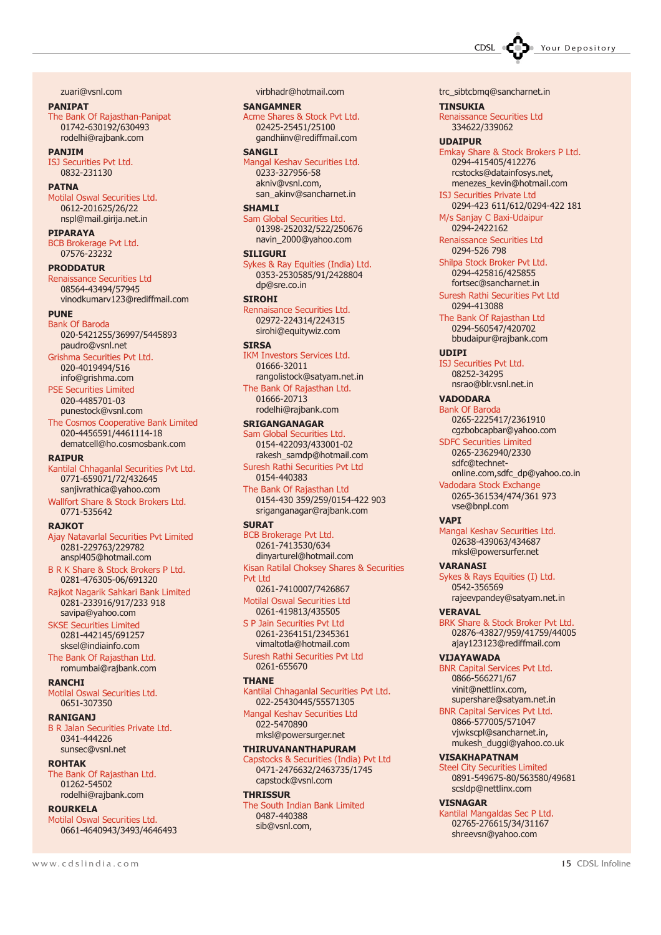CDSL **COD** Your Depository

zuari@vsnl.com

PANIPAT

The Bank Of Rajasthan-Panipat 01742-630192/630493 rodelhi@rajbank.com

PANJIM ISJ Securities Pvt Ltd. 0832-231130

#### **PATNA**

Motilal Oswal Securities Ltd. 0612-201625/26/22 nspl@mail.girija.net.in

PIPARAYA

BCB Brokerage Pvt Ltd. 07576-23232

### PRODDATUR

Renaissance Securities Ltd 08564-43494/57945 vinodkumarv123@rediffmail.com

### **PUNE**

Bank Of Baroda 020-5421255/36997/5445893 paudro@vsnl.net Grishma Securities Pvt Ltd. 020-4019494/516 info@grishma.com PSE Securities Limited

020-4485701-03 punestock@vsnl.com The Cosmos Cooperative Bank Limited 020-4456591/4461114-18

dematcell@ho.cosmosbank.com RAIPUR

### Kantilal Chhaganlal Securities Pvt Ltd.

0771-659071/72/432645 sanjivrathica@yahoo.com Wallfort Share & Stock Brokers Ltd. 0771-535642

### **RA<sub>1</sub>KOT</mark>**

Ajay Natavarlal Securities Pvt Limited 0281-229763/229782 anspl405@hotmail.com

B R K Share & Stock Brokers P Ltd. 0281-476305-06/691320

Rajkot Nagarik Sahkari Bank Limited 0281-233916/917/233 918 savipa@yahoo.com

SKSE Securities Limited 0281-442145/691257 sksel@indiainfo.com

The Bank Of Rajasthan Ltd. romumbai@rajbank.com

### **RANCHI**

Motilal Oswal Securities Ltd. 0651-307350

### RANIGANJ

B R Jalan Securities Private Ltd. 0341-444226 sunsec@vsnl.net

### ROHTAK

The Bank Of Rajasthan Ltd. 01262-54502 rodelhi@rajbank.com

### ROURKELA

Motilal Oswal Securities Ltd. 0661-4640943/3493/4646493 virbhadr@hotmail.com

### SANGAMNER Acme Shares & Stock Pvt Ltd. 02425-25451/25100 gandhiinv@rediffmail.com

### SANGLI

Mangal Keshav Securities Ltd. 0233-327956-58 akniv@vsnl.com, san\_akinv@sancharnet.in

### **SHAMIT**

Sam Global Securities Ltd. 01398-252032/522/250676 navin\_2000@yahoo.com

### STI TGURT

Sykes & Ray Equities (India) Ltd. 0353-2530585/91/2428804 dp@sre.co.in

### **SIROHI**

Rennaisance Securities Ltd. 02972-224314/224315 sirohi@equitywiz.com

### **SIRSA**

IKM Investors Services Ltd. 01666-32011 rangolistock@satyam.net.in

The Bank Of Rajasthan Ltd. 01666-20713 rodelhi@rajbank.com

### SRIGANGANAGAR

Sam Global Securities Ltd. 0154-422093/433001-02 rakesh\_samdp@hotmail.com

Suresh Rathi Securities Pvt Ltd 0154-440383

The Bank Of Rajasthan Ltd 0154-430 359/259/0154-422 903 sriganganagar@rajbank.com

### **SURAT**

BCB Brokerage Pvt Ltd. 0261-7413530/634 dinyarturel@hotmail.com Kisan Ratilal Choksey Shares & Securities Pvt Ltd 0261-7410007/7426867

Motilal Oswal Securities Ltd 0261-419813/435505

S P Jain Securities Pvt Ltd 0261-2364151/2345361 vimaltotla@hotmail.com

Suresh Rathi Securities Pvt Ltd 0261-655670

### **THANE**

Kantilal Chhaganlal Securities Pvt Ltd. 022-25430445/55571305

Mangal Keshav Securities Ltd 022-5470890 mksl@powersurger.net

### THIRUVANANTHAPURAM

Capstocks & Securities (India) Pvt Ltd 0471-2476632/2463735/1745 capstock@vsnl.com

### **THRISSUR**

The South Indian Bank Limited 0487-440388 sib@vsnl.com,

trc\_sibtcbmq@sancharnet.in

TINSUKIA Renaissance Securities Ltd 334622/339062

### UDAIPUR

Emkay Share & Stock Brokers P Ltd. 0294-415405/412276 rcstocks@datainfosys.net, menezes\_kevin@hotmail.com

ISJ Securities Private Ltd 0294-423 611/612/0294-422 181

M/s Sanjay C Baxi-Udaipur 0294-2422162

Renaissance Securities Ltd 0294-526 798 Shilpa Stock Broker Pvt Ltd.

0294-425816/425855 fortsec@sancharnet.in

### Suresh Rathi Securities Pvt Ltd 0294-413088

The Bank Of Rajasthan Ltd 0294-560547/420702 bbudaipur@rajbank.com

### UDIPI

ISJ Securities Pvt Ltd. 08252-34295 nsrao@blr.vsnl.net.in

VADODARA Bank Of Baroda

0265-2225417/2361910 cgzbobcapbar@yahoo.com

### SDFC Securities Limited 0265-2362940/2330 sdfc@technet-

online.com,sdfc\_dp@yahoo.co.in Vadodara Stock Exchange 0265-361534/474/361 973 vse@bnpl.com

#### VAPI

Mangal Keshav Securities Ltd. 02638-439063/434687 mksl@powersurfer.net

### **VARANAST**

Sykes & Rays Equities (I) Ltd. 0542-356569 rajeevpandey@satyam.net.in

### VERAVAL

BRK Share & Stock Broker Pvt Ltd. 02876-43827/959/41759/44005 ajay123123@rediffmail.com

#### VIJAYAWADA

BNR Capital Services Pvt Ltd. 0866-566271/67 vinit@nettlinx.com, supershare@satyam.net.in

BNR Capital Services Pvt Ltd. 0866-577005/571047 vjwkscpl@sancharnet.in, mukesh\_duggi@yahoo.co.uk

### VISAKHAPATNAM

Steel City Securities Limited 0891-549675-80/563580/49681 scsldp@nettlinx.com

### VISNAGAR

Kantilal Mangaldas Sec P Ltd. 02765-276615/34/31167 shreevsn@yahoo.com